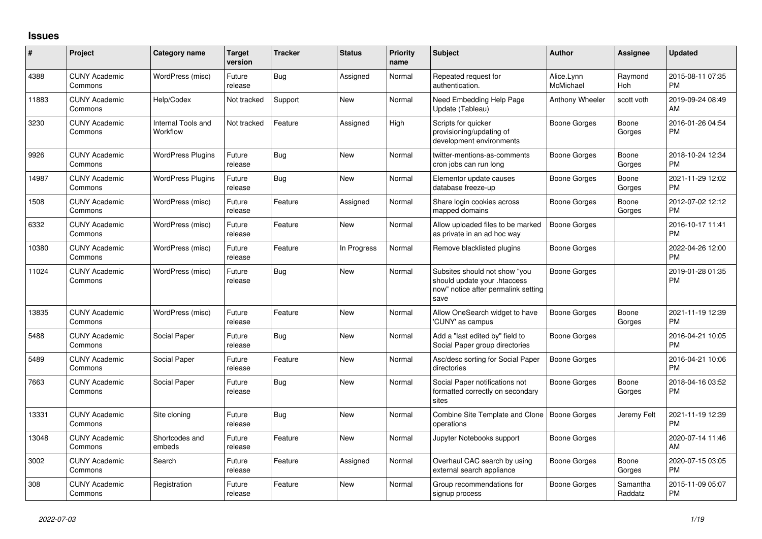## **Issues**

| #     | Project                         | Category name                  | <b>Target</b><br>version | <b>Tracker</b> | <b>Status</b> | Priority<br>name | <b>Subject</b>                                                                                               | <b>Author</b>           | <b>Assignee</b>     | <b>Updated</b>                |
|-------|---------------------------------|--------------------------------|--------------------------|----------------|---------------|------------------|--------------------------------------------------------------------------------------------------------------|-------------------------|---------------------|-------------------------------|
| 4388  | <b>CUNY Academic</b><br>Commons | WordPress (misc)               | Future<br>release        | Bug            | Assigned      | Normal           | Repeated request for<br>authentication.                                                                      | Alice.Lynn<br>McMichael | Raymond<br>Hoh      | 2015-08-11 07:35<br><b>PM</b> |
| 11883 | <b>CUNY Academic</b><br>Commons | Help/Codex                     | Not tracked              | Support        | New           | Normal           | Need Embedding Help Page<br>Update (Tableau)                                                                 | Anthony Wheeler         | scott voth          | 2019-09-24 08:49<br>AM        |
| 3230  | <b>CUNY Academic</b><br>Commons | Internal Tools and<br>Workflow | Not tracked              | Feature        | Assigned      | High             | Scripts for quicker<br>provisioning/updating of<br>development environments                                  | Boone Gorges            | Boone<br>Gorges     | 2016-01-26 04:54<br><b>PM</b> |
| 9926  | <b>CUNY Academic</b><br>Commons | <b>WordPress Plugins</b>       | Future<br>release        | Bug            | New           | Normal           | twitter-mentions-as-comments<br>cron jobs can run long                                                       | Boone Gorges            | Boone<br>Gorges     | 2018-10-24 12:34<br><b>PM</b> |
| 14987 | <b>CUNY Academic</b><br>Commons | <b>WordPress Plugins</b>       | Future<br>release        | Bug            | <b>New</b>    | Normal           | Elementor update causes<br>database freeze-up                                                                | Boone Gorges            | Boone<br>Gorges     | 2021-11-29 12:02<br><b>PM</b> |
| 1508  | <b>CUNY Academic</b><br>Commons | WordPress (misc)               | Future<br>release        | Feature        | Assigned      | Normal           | Share login cookies across<br>mapped domains                                                                 | Boone Gorges            | Boone<br>Gorges     | 2012-07-02 12:12<br><b>PM</b> |
| 6332  | <b>CUNY Academic</b><br>Commons | WordPress (misc)               | Future<br>release        | Feature        | New           | Normal           | Allow uploaded files to be marked<br>as private in an ad hoc way                                             | Boone Gorges            |                     | 2016-10-17 11:41<br><b>PM</b> |
| 10380 | <b>CUNY Academic</b><br>Commons | WordPress (misc)               | Future<br>release        | Feature        | In Progress   | Normal           | Remove blacklisted plugins                                                                                   | Boone Gorges            |                     | 2022-04-26 12:00<br><b>PM</b> |
| 11024 | <b>CUNY Academic</b><br>Commons | WordPress (misc)               | Future<br>release        | <b>Bug</b>     | <b>New</b>    | Normal           | Subsites should not show "you<br>should update your .htaccess<br>now" notice after permalink setting<br>save | <b>Boone Gorges</b>     |                     | 2019-01-28 01:35<br><b>PM</b> |
| 13835 | <b>CUNY Academic</b><br>Commons | WordPress (misc)               | Future<br>release        | Feature        | New           | Normal           | Allow OneSearch widget to have<br>'CUNY' as campus                                                           | Boone Gorges            | Boone<br>Gorges     | 2021-11-19 12:39<br><b>PM</b> |
| 5488  | <b>CUNY Academic</b><br>Commons | Social Paper                   | Future<br>release        | Bug            | <b>New</b>    | Normal           | Add a "last edited by" field to<br>Social Paper group directories                                            | Boone Gorges            |                     | 2016-04-21 10:05<br><b>PM</b> |
| 5489  | <b>CUNY Academic</b><br>Commons | Social Paper                   | Future<br>release        | Feature        | <b>New</b>    | Normal           | Asc/desc sorting for Social Paper<br>directories                                                             | Boone Gorges            |                     | 2016-04-21 10:06<br><b>PM</b> |
| 7663  | <b>CUNY Academic</b><br>Commons | Social Paper                   | Future<br>release        | Bug            | New           | Normal           | Social Paper notifications not<br>formatted correctly on secondary<br>sites                                  | Boone Gorges            | Boone<br>Gorges     | 2018-04-16 03:52<br><b>PM</b> |
| 13331 | <b>CUNY Academic</b><br>Commons | Site cloning                   | Future<br>release        | Bug            | <b>New</b>    | Normal           | Combine Site Template and Clone   Boone Gorges<br>operations                                                 |                         | Jeremy Felt         | 2021-11-19 12:39<br><b>PM</b> |
| 13048 | <b>CUNY Academic</b><br>Commons | Shortcodes and<br>embeds       | Future<br>release        | Feature        | <b>New</b>    | Normal           | Jupyter Notebooks support                                                                                    | Boone Gorges            |                     | 2020-07-14 11:46<br>AM        |
| 3002  | <b>CUNY Academic</b><br>Commons | Search                         | Future<br>release        | Feature        | Assigned      | Normal           | Overhaul CAC search by using<br>external search appliance                                                    | Boone Gorges            | Boone<br>Gorges     | 2020-07-15 03:05<br><b>PM</b> |
| 308   | <b>CUNY Academic</b><br>Commons | Registration                   | Future<br>release        | Feature        | <b>New</b>    | Normal           | Group recommendations for<br>signup process                                                                  | Boone Gorges            | Samantha<br>Raddatz | 2015-11-09 05:07<br><b>PM</b> |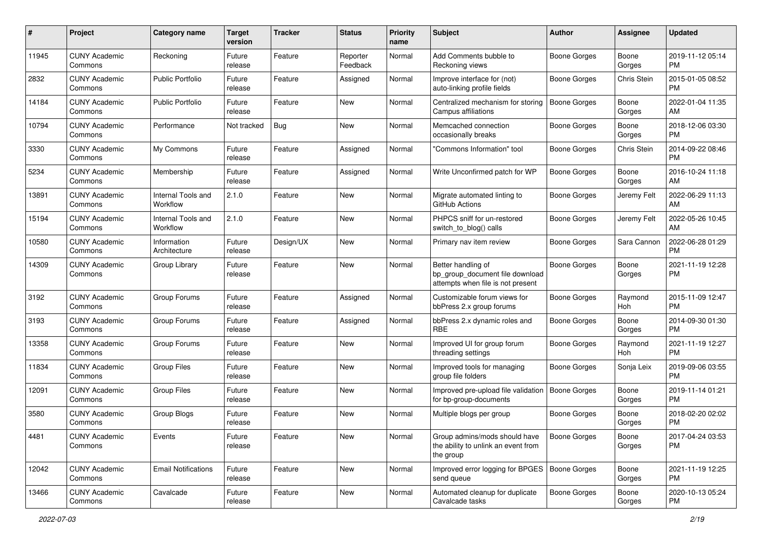| #     | Project                         | <b>Category name</b>           | <b>Target</b><br>version | <b>Tracker</b> | <b>Status</b>        | Priority<br>name | <b>Subject</b>                                                                             | Author              | <b>Assignee</b> | <b>Updated</b>                |
|-------|---------------------------------|--------------------------------|--------------------------|----------------|----------------------|------------------|--------------------------------------------------------------------------------------------|---------------------|-----------------|-------------------------------|
| 11945 | <b>CUNY Academic</b><br>Commons | Reckoning                      | Future<br>release        | Feature        | Reporter<br>Feedback | Normal           | Add Comments bubble to<br>Reckoning views                                                  | <b>Boone Gorges</b> | Boone<br>Gorges | 2019-11-12 05:14<br><b>PM</b> |
| 2832  | <b>CUNY Academic</b><br>Commons | <b>Public Portfolio</b>        | Future<br>release        | Feature        | Assigned             | Normal           | Improve interface for (not)<br>auto-linking profile fields                                 | <b>Boone Gorges</b> | Chris Stein     | 2015-01-05 08:52<br><b>PM</b> |
| 14184 | <b>CUNY Academic</b><br>Commons | <b>Public Portfolio</b>        | Future<br>release        | Feature        | New                  | Normal           | Centralized mechanism for storing<br>Campus affiliations                                   | <b>Boone Gorges</b> | Boone<br>Gorges | 2022-01-04 11:35<br>AM        |
| 10794 | <b>CUNY Academic</b><br>Commons | Performance                    | Not tracked              | <b>Bug</b>     | New                  | Normal           | Memcached connection<br>occasionally breaks                                                | <b>Boone Gorges</b> | Boone<br>Gorges | 2018-12-06 03:30<br><b>PM</b> |
| 3330  | <b>CUNY Academic</b><br>Commons | My Commons                     | Future<br>release        | Feature        | Assigned             | Normal           | "Commons Information" tool                                                                 | <b>Boone Gorges</b> | Chris Stein     | 2014-09-22 08:46<br><b>PM</b> |
| 5234  | <b>CUNY Academic</b><br>Commons | Membership                     | Future<br>release        | Feature        | Assigned             | Normal           | Write Unconfirmed patch for WP                                                             | <b>Boone Gorges</b> | Boone<br>Gorges | 2016-10-24 11:18<br>AM        |
| 13891 | <b>CUNY Academic</b><br>Commons | Internal Tools and<br>Workflow | 2.1.0                    | Feature        | New                  | Normal           | Migrate automated linting to<br>GitHub Actions                                             | Boone Gorges        | Jeremy Felt     | 2022-06-29 11:13<br>AM        |
| 15194 | <b>CUNY Academic</b><br>Commons | Internal Tools and<br>Workflow | 2.1.0                    | Feature        | New                  | Normal           | PHPCS sniff for un-restored<br>switch_to_blog() calls                                      | <b>Boone Gorges</b> | Jeremy Felt     | 2022-05-26 10:45<br>AM        |
| 10580 | <b>CUNY Academic</b><br>Commons | Information<br>Architecture    | Future<br>release        | Design/UX      | New                  | Normal           | Primary nav item review                                                                    | <b>Boone Gorges</b> | Sara Cannon     | 2022-06-28 01:29<br><b>PM</b> |
| 14309 | <b>CUNY Academic</b><br>Commons | Group Library                  | Future<br>release        | Feature        | New                  | Normal           | Better handling of<br>bp_group_document file download<br>attempts when file is not present | <b>Boone Gorges</b> | Boone<br>Gorges | 2021-11-19 12:28<br>PM        |
| 3192  | <b>CUNY Academic</b><br>Commons | Group Forums                   | Future<br>release        | Feature        | Assigned             | Normal           | Customizable forum views for<br>bbPress 2.x group forums                                   | Boone Gorges        | Raymond<br>Hoh  | 2015-11-09 12:47<br><b>PM</b> |
| 3193  | <b>CUNY Academic</b><br>Commons | Group Forums                   | Future<br>release        | Feature        | Assigned             | Normal           | bbPress 2.x dynamic roles and<br><b>RBE</b>                                                | Boone Gorges        | Boone<br>Gorges | 2014-09-30 01:30<br><b>PM</b> |
| 13358 | <b>CUNY Academic</b><br>Commons | Group Forums                   | Future<br>release        | Feature        | <b>New</b>           | Normal           | Improved UI for group forum<br>threading settings                                          | Boone Gorges        | Raymond<br>Hoh  | 2021-11-19 12:27<br><b>PM</b> |
| 11834 | <b>CUNY Academic</b><br>Commons | <b>Group Files</b>             | Future<br>release        | Feature        | New                  | Normal           | Improved tools for managing<br>group file folders                                          | <b>Boone Gorges</b> | Sonja Leix      | 2019-09-06 03:55<br><b>PM</b> |
| 12091 | <b>CUNY Academic</b><br>Commons | <b>Group Files</b>             | Future<br>release        | Feature        | New                  | Normal           | Improved pre-upload file validation<br>for bp-group-documents                              | <b>Boone Gorges</b> | Boone<br>Gorges | 2019-11-14 01:21<br><b>PM</b> |
| 3580  | <b>CUNY Academic</b><br>Commons | Group Blogs                    | Future<br>release        | Feature        | New                  | Normal           | Multiple blogs per group                                                                   | <b>Boone Gorges</b> | Boone<br>Gorges | 2018-02-20 02:02<br><b>PM</b> |
| 4481  | <b>CUNY Academic</b><br>Commons | Events                         | Future<br>release        | Feature        | New                  | Normal           | Group admins/mods should have<br>the ability to unlink an event from<br>the group          | <b>Boone Gorges</b> | Boone<br>Gorges | 2017-04-24 03:53<br><b>PM</b> |
| 12042 | <b>CUNY Academic</b><br>Commons | <b>Email Notifications</b>     | Future<br>release        | Feature        | New                  | Normal           | Improved error logging for BPGES   Boone Gorges<br>send queue                              |                     | Boone<br>Gorges | 2021-11-19 12:25<br><b>PM</b> |
| 13466 | <b>CUNY Academic</b><br>Commons | Cavalcade                      | Future<br>release        | Feature        | New                  | Normal           | Automated cleanup for duplicate<br>Cavalcade tasks                                         | Boone Gorges        | Boone<br>Gorges | 2020-10-13 05:24<br><b>PM</b> |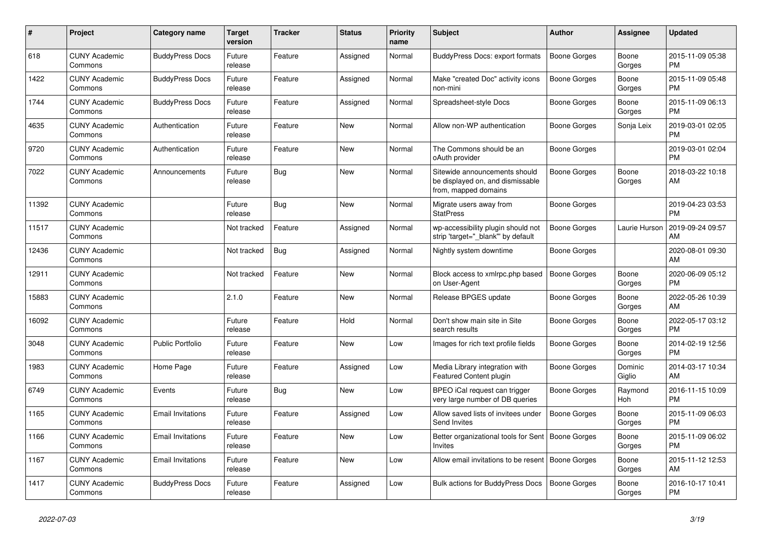| #     | <b>Project</b>                  | Category name            | <b>Target</b><br>version | <b>Tracker</b> | <b>Status</b> | <b>Priority</b><br>name | <b>Subject</b>                                                                            | <b>Author</b>       | Assignee          | <b>Updated</b>                |
|-------|---------------------------------|--------------------------|--------------------------|----------------|---------------|-------------------------|-------------------------------------------------------------------------------------------|---------------------|-------------------|-------------------------------|
| 618   | <b>CUNY Academic</b><br>Commons | <b>BuddyPress Docs</b>   | Future<br>release        | Feature        | Assigned      | Normal                  | <b>BuddyPress Docs: export formats</b>                                                    | <b>Boone Gorges</b> | Boone<br>Gorges   | 2015-11-09 05:38<br><b>PM</b> |
| 1422  | <b>CUNY Academic</b><br>Commons | <b>BuddyPress Docs</b>   | Future<br>release        | Feature        | Assigned      | Normal                  | Make "created Doc" activity icons<br>non-mini                                             | <b>Boone Gorges</b> | Boone<br>Gorges   | 2015-11-09 05:48<br><b>PM</b> |
| 1744  | <b>CUNY Academic</b><br>Commons | <b>BuddyPress Docs</b>   | Future<br>release        | Feature        | Assigned      | Normal                  | Spreadsheet-style Docs                                                                    | Boone Gorges        | Boone<br>Gorges   | 2015-11-09 06:13<br><b>PM</b> |
| 4635  | <b>CUNY Academic</b><br>Commons | Authentication           | Future<br>release        | Feature        | <b>New</b>    | Normal                  | Allow non-WP authentication                                                               | Boone Gorges        | Sonja Leix        | 2019-03-01 02:05<br><b>PM</b> |
| 9720  | <b>CUNY Academic</b><br>Commons | Authentication           | Future<br>release        | Feature        | New           | Normal                  | The Commons should be an<br>oAuth provider                                                | Boone Gorges        |                   | 2019-03-01 02:04<br><b>PM</b> |
| 7022  | <b>CUNY Academic</b><br>Commons | Announcements            | Future<br>release        | Bug            | New           | Normal                  | Sitewide announcements should<br>be displayed on, and dismissable<br>from, mapped domains | Boone Gorges        | Boone<br>Gorges   | 2018-03-22 10:18<br>AM        |
| 11392 | <b>CUNY Academic</b><br>Commons |                          | Future<br>release        | <b>Bug</b>     | <b>New</b>    | Normal                  | Migrate users away from<br><b>StatPress</b>                                               | Boone Gorges        |                   | 2019-04-23 03:53<br><b>PM</b> |
| 11517 | <b>CUNY Academic</b><br>Commons |                          | Not tracked              | Feature        | Assigned      | Normal                  | wp-accessibility plugin should not<br>strip 'target="_blank" by default                   | Boone Gorges        | Laurie Hurson     | 2019-09-24 09:57<br>AM        |
| 12436 | <b>CUNY Academic</b><br>Commons |                          | Not tracked              | Bug            | Assigned      | Normal                  | Nightly system downtime                                                                   | Boone Gorges        |                   | 2020-08-01 09:30<br>AM        |
| 12911 | <b>CUNY Academic</b><br>Commons |                          | Not tracked              | Feature        | <b>New</b>    | Normal                  | Block access to xmlrpc.php based<br>on User-Agent                                         | <b>Boone Gorges</b> | Boone<br>Gorges   | 2020-06-09 05:12<br><b>PM</b> |
| 15883 | <b>CUNY Academic</b><br>Commons |                          | 2.1.0                    | Feature        | New           | Normal                  | Release BPGES update                                                                      | Boone Gorges        | Boone<br>Gorges   | 2022-05-26 10:39<br>AM        |
| 16092 | <b>CUNY Academic</b><br>Commons |                          | Future<br>release        | Feature        | Hold          | Normal                  | Don't show main site in Site<br>search results                                            | Boone Gorges        | Boone<br>Gorges   | 2022-05-17 03:12<br><b>PM</b> |
| 3048  | <b>CUNY Academic</b><br>Commons | Public Portfolio         | Future<br>release        | Feature        | <b>New</b>    | Low                     | Images for rich text profile fields                                                       | Boone Gorges        | Boone<br>Gorges   | 2014-02-19 12:56<br><b>PM</b> |
| 1983  | <b>CUNY Academic</b><br>Commons | Home Page                | Future<br>release        | Feature        | Assigned      | Low                     | Media Library integration with<br>Featured Content plugin                                 | Boone Gorges        | Dominic<br>Giglio | 2014-03-17 10:34<br>AM        |
| 6749  | <b>CUNY Academic</b><br>Commons | Events                   | Future<br>release        | Bug            | New           | Low                     | BPEO iCal request can trigger<br>very large number of DB queries                          | Boone Gorges        | Raymond<br>Hoh    | 2016-11-15 10:09<br><b>PM</b> |
| 1165  | <b>CUNY Academic</b><br>Commons | <b>Email Invitations</b> | Future<br>release        | Feature        | Assigned      | Low                     | Allow saved lists of invitees under<br>Send Invites                                       | Boone Gorges        | Boone<br>Gorges   | 2015-11-09 06:03<br><b>PM</b> |
| 1166  | <b>CUNY Academic</b><br>Commons | <b>Email Invitations</b> | Future<br>release        | Feature        | <b>New</b>    | Low                     | Better organizational tools for Sent   Boone Gorges<br><b>Invites</b>                     |                     | Boone<br>Gorges   | 2015-11-09 06:02<br><b>PM</b> |
| 1167  | <b>CUNY Academic</b><br>Commons | <b>Email Invitations</b> | Future<br>release        | Feature        | New           | Low                     | Allow email invitations to be resent   Boone Gorges                                       |                     | Boone<br>Gorges   | 2015-11-12 12:53<br>AM        |
| 1417  | <b>CUNY Academic</b><br>Commons | <b>BuddyPress Docs</b>   | Future<br>release        | Feature        | Assigned      | Low                     | <b>Bulk actions for BuddyPress Docs</b>                                                   | Boone Gorges        | Boone<br>Gorges   | 2016-10-17 10:41<br><b>PM</b> |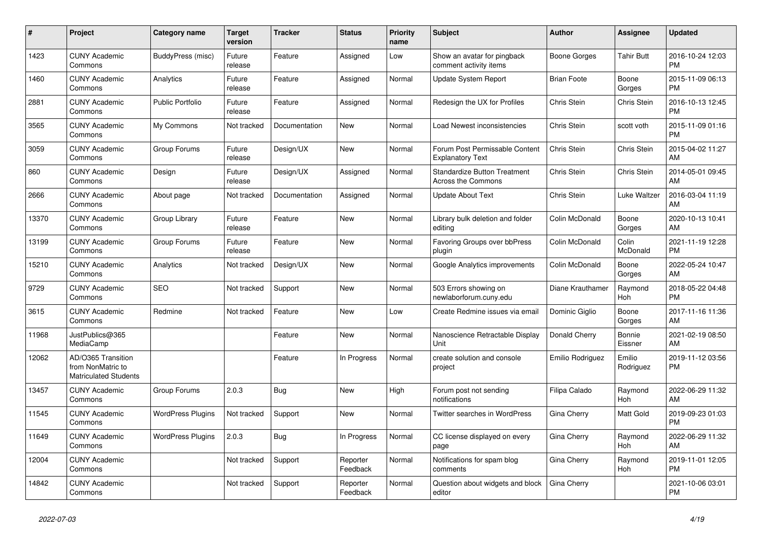| #     | <b>Project</b>                                                          | <b>Category name</b>     | <b>Target</b><br>version | <b>Tracker</b> | <b>Status</b>        | Priority<br>name | <b>Subject</b>                                                   | <b>Author</b>      | Assignee            | <b>Updated</b>                |
|-------|-------------------------------------------------------------------------|--------------------------|--------------------------|----------------|----------------------|------------------|------------------------------------------------------------------|--------------------|---------------------|-------------------------------|
| 1423  | <b>CUNY Academic</b><br>Commons                                         | BuddyPress (misc)        | Future<br>release        | Feature        | Assigned             | Low              | Show an avatar for pingback<br>comment activity items            | Boone Gorges       | <b>Tahir Butt</b>   | 2016-10-24 12:03<br><b>PM</b> |
| 1460  | <b>CUNY Academic</b><br>Commons                                         | Analytics                | Future<br>release        | Feature        | Assigned             | Normal           | <b>Update System Report</b>                                      | <b>Brian Foote</b> | Boone<br>Gorges     | 2015-11-09 06:13<br><b>PM</b> |
| 2881  | <b>CUNY Academic</b><br>Commons                                         | <b>Public Portfolio</b>  | Future<br>release        | Feature        | Assigned             | Normal           | Redesign the UX for Profiles                                     | Chris Stein        | Chris Stein         | 2016-10-13 12:45<br><b>PM</b> |
| 3565  | <b>CUNY Academic</b><br>Commons                                         | My Commons               | Not tracked              | Documentation  | New                  | Normal           | Load Newest inconsistencies                                      | Chris Stein        | scott voth          | 2015-11-09 01:16<br><b>PM</b> |
| 3059  | <b>CUNY Academic</b><br>Commons                                         | Group Forums             | Future<br>release        | Design/UX      | New                  | Normal           | Forum Post Permissable Content<br><b>Explanatory Text</b>        | Chris Stein        | Chris Stein         | 2015-04-02 11:27<br>AM        |
| 860   | <b>CUNY Academic</b><br>Commons                                         | Design                   | Future<br>release        | Design/UX      | Assigned             | Normal           | <b>Standardize Button Treatment</b><br><b>Across the Commons</b> | Chris Stein        | Chris Stein         | 2014-05-01 09:45<br>AM        |
| 2666  | <b>CUNY Academic</b><br>Commons                                         | About page               | Not tracked              | Documentation  | Assigned             | Normal           | <b>Update About Text</b>                                         | Chris Stein        | Luke Waltzer        | 2016-03-04 11:19<br>AM        |
| 13370 | <b>CUNY Academic</b><br>Commons                                         | Group Library            | Future<br>release        | Feature        | <b>New</b>           | Normal           | Library bulk deletion and folder<br>editing                      | Colin McDonald     | Boone<br>Gorges     | 2020-10-13 10:41<br>AM        |
| 13199 | <b>CUNY Academic</b><br>Commons                                         | Group Forums             | Future<br>release        | Feature        | New                  | Normal           | Favoring Groups over bbPress<br>plugin                           | Colin McDonald     | Colin<br>McDonald   | 2021-11-19 12:28<br><b>PM</b> |
| 15210 | <b>CUNY Academic</b><br>Commons                                         | Analytics                | Not tracked              | Design/UX      | New                  | Normal           | Google Analytics improvements                                    | Colin McDonald     | Boone<br>Gorges     | 2022-05-24 10:47<br>AM        |
| 9729  | <b>CUNY Academic</b><br>Commons                                         | <b>SEO</b>               | Not tracked              | Support        | <b>New</b>           | Normal           | 503 Errors showing on<br>newlaborforum.cuny.edu                  | Diane Krauthamer   | Raymond<br>Hoh      | 2018-05-22 04:48<br><b>PM</b> |
| 3615  | <b>CUNY Academic</b><br>Commons                                         | Redmine                  | Not tracked              | Feature        | New                  | Low              | Create Redmine issues via email                                  | Dominic Giglio     | Boone<br>Gorges     | 2017-11-16 11:36<br>AM        |
| 11968 | JustPublics@365<br>MediaCamp                                            |                          |                          | Feature        | New                  | Normal           | Nanoscience Retractable Display<br>Unit                          | Donald Cherry      | Bonnie<br>Eissner   | 2021-02-19 08:50<br>AM        |
| 12062 | AD/O365 Transition<br>from NonMatric to<br><b>Matriculated Students</b> |                          |                          | Feature        | In Progress          | Normal           | create solution and console<br>project                           | Emilio Rodriguez   | Emilio<br>Rodriguez | 2019-11-12 03:56<br><b>PM</b> |
| 13457 | <b>CUNY Academic</b><br>Commons                                         | Group Forums             | 2.0.3                    | <b>Bug</b>     | <b>New</b>           | High             | Forum post not sending<br>notifications                          | Filipa Calado      | Raymond<br>Hoh      | 2022-06-29 11:32<br>AM        |
| 11545 | <b>CUNY Academic</b><br>Commons                                         | <b>WordPress Plugins</b> | Not tracked              | Support        | <b>New</b>           | Normal           | Twitter searches in WordPress                                    | Gina Cherry        | Matt Gold           | 2019-09-23 01:03<br><b>PM</b> |
| 11649 | <b>CUNY Academic</b><br>Commons                                         | <b>WordPress Plugins</b> | 2.0.3                    | Bug            | In Progress          | Normal           | CC license displayed on every<br>page                            | Gina Cherry        | Raymond<br>Hoh      | 2022-06-29 11:32<br>AM        |
| 12004 | <b>CUNY Academic</b><br>Commons                                         |                          | Not tracked              | Support        | Reporter<br>Feedback | Normal           | Notifications for spam blog<br>comments                          | Gina Cherry        | Raymond<br>Hoh      | 2019-11-01 12:05<br><b>PM</b> |
| 14842 | <b>CUNY Academic</b><br>Commons                                         |                          | Not tracked              | Support        | Reporter<br>Feedback | Normal           | Question about widgets and block<br>editor                       | Gina Cherry        |                     | 2021-10-06 03:01<br><b>PM</b> |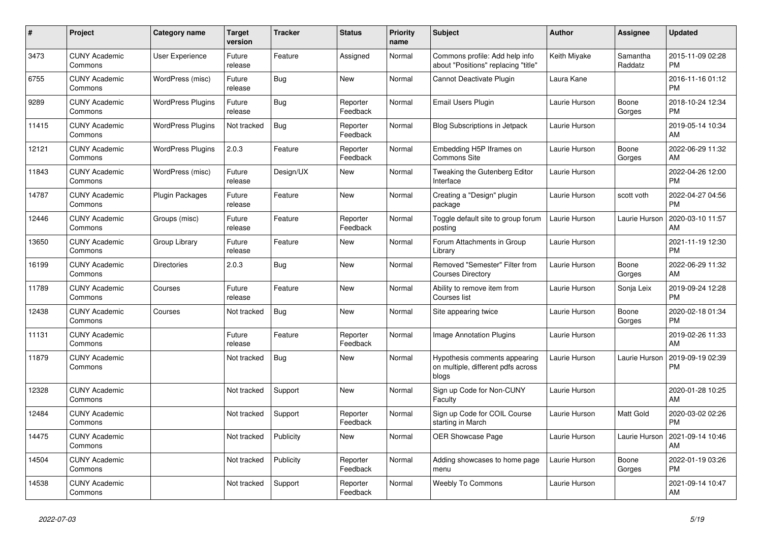| $\pmb{\sharp}$ | Project                         | <b>Category name</b>     | <b>Target</b><br>version | <b>Tracker</b> | <b>Status</b>        | Priority<br>name | <b>Subject</b>                                                               | <b>Author</b> | Assignee            | <b>Updated</b>                |
|----------------|---------------------------------|--------------------------|--------------------------|----------------|----------------------|------------------|------------------------------------------------------------------------------|---------------|---------------------|-------------------------------|
| 3473           | <b>CUNY Academic</b><br>Commons | <b>User Experience</b>   | Future<br>release        | Feature        | Assigned             | Normal           | Commons profile: Add help info<br>about "Positions" replacing "title"        | Keith Miyake  | Samantha<br>Raddatz | 2015-11-09 02:28<br><b>PM</b> |
| 6755           | <b>CUNY Academic</b><br>Commons | WordPress (misc)         | Future<br>release        | Bug            | New                  | Normal           | Cannot Deactivate Plugin                                                     | Laura Kane    |                     | 2016-11-16 01:12<br><b>PM</b> |
| 9289           | <b>CUNY Academic</b><br>Commons | <b>WordPress Plugins</b> | Future<br>release        | Bug            | Reporter<br>Feedback | Normal           | Email Users Plugin                                                           | Laurie Hurson | Boone<br>Gorges     | 2018-10-24 12:34<br><b>PM</b> |
| 11415          | <b>CUNY Academic</b><br>Commons | <b>WordPress Plugins</b> | Not tracked              | Bug            | Reporter<br>Feedback | Normal           | <b>Blog Subscriptions in Jetpack</b>                                         | Laurie Hurson |                     | 2019-05-14 10:34<br>AM        |
| 12121          | <b>CUNY Academic</b><br>Commons | <b>WordPress Plugins</b> | 2.0.3                    | Feature        | Reporter<br>Feedback | Normal           | Embedding H5P Iframes on<br><b>Commons Site</b>                              | Laurie Hurson | Boone<br>Gorges     | 2022-06-29 11:32<br>AM        |
| 11843          | <b>CUNY Academic</b><br>Commons | WordPress (misc)         | Future<br>release        | Design/UX      | New                  | Normal           | Tweaking the Gutenberg Editor<br>Interface                                   | Laurie Hurson |                     | 2022-04-26 12:00<br><b>PM</b> |
| 14787          | <b>CUNY Academic</b><br>Commons | Plugin Packages          | Future<br>release        | Feature        | <b>New</b>           | Normal           | Creating a "Design" plugin<br>package                                        | Laurie Hurson | scott voth          | 2022-04-27 04:56<br><b>PM</b> |
| 12446          | <b>CUNY Academic</b><br>Commons | Groups (misc)            | Future<br>release        | Feature        | Reporter<br>Feedback | Normal           | Toggle default site to group forum<br>posting                                | Laurie Hurson | Laurie Hurson       | 2020-03-10 11:57<br>AM        |
| 13650          | <b>CUNY Academic</b><br>Commons | Group Library            | Future<br>release        | Feature        | New                  | Normal           | Forum Attachments in Group<br>Library                                        | Laurie Hurson |                     | 2021-11-19 12:30<br><b>PM</b> |
| 16199          | <b>CUNY Academic</b><br>Commons | <b>Directories</b>       | 2.0.3                    | Bug            | New                  | Normal           | Removed "Semester" Filter from<br><b>Courses Directory</b>                   | Laurie Hurson | Boone<br>Gorges     | 2022-06-29 11:32<br>AM        |
| 11789          | <b>CUNY Academic</b><br>Commons | Courses                  | Future<br>release        | Feature        | <b>New</b>           | Normal           | Ability to remove item from<br>Courses list                                  | Laurie Hurson | Sonja Leix          | 2019-09-24 12:28<br><b>PM</b> |
| 12438          | <b>CUNY Academic</b><br>Commons | Courses                  | Not tracked              | <b>Bug</b>     | <b>New</b>           | Normal           | Site appearing twice                                                         | Laurie Hurson | Boone<br>Gorges     | 2020-02-18 01:34<br><b>PM</b> |
| 11131          | <b>CUNY Academic</b><br>Commons |                          | Future<br>release        | Feature        | Reporter<br>Feedback | Normal           | Image Annotation Plugins                                                     | Laurie Hurson |                     | 2019-02-26 11:33<br>AM        |
| 11879          | <b>CUNY Academic</b><br>Commons |                          | Not tracked              | Bug            | <b>New</b>           | Normal           | Hypothesis comments appearing<br>on multiple, different pdfs across<br>blogs | Laurie Hurson | Laurie Hurson       | 2019-09-19 02:39<br><b>PM</b> |
| 12328          | <b>CUNY Academic</b><br>Commons |                          | Not tracked              | Support        | <b>New</b>           | Normal           | Sign up Code for Non-CUNY<br>Faculty                                         | Laurie Hurson |                     | 2020-01-28 10:25<br>AM        |
| 12484          | <b>CUNY Academic</b><br>Commons |                          | Not tracked              | Support        | Reporter<br>Feedback | Normal           | Sign up Code for COIL Course<br>starting in March                            | Laurie Hurson | Matt Gold           | 2020-03-02 02:26<br><b>PM</b> |
| 14475          | <b>CUNY Academic</b><br>Commons |                          | Not tracked              | Publicity      | <b>New</b>           | Normal           | OER Showcase Page                                                            | Laurie Hurson | Laurie Hurson       | 2021-09-14 10:46<br>AM        |
| 14504          | <b>CUNY Academic</b><br>Commons |                          | Not tracked              | Publicity      | Reporter<br>Feedback | Normal           | Adding showcases to home page<br>menu                                        | Laurie Hurson | Boone<br>Gorges     | 2022-01-19 03:26<br><b>PM</b> |
| 14538          | <b>CUNY Academic</b><br>Commons |                          | Not tracked              | Support        | Reporter<br>Feedback | Normal           | <b>Weebly To Commons</b>                                                     | Laurie Hurson |                     | 2021-09-14 10:47<br>AM        |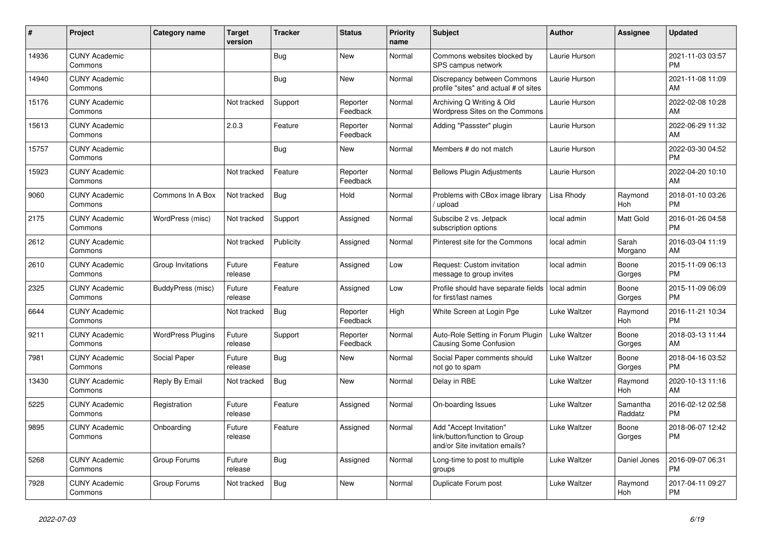| #     | Project                         | <b>Category name</b>     | <b>Target</b><br>version | <b>Tracker</b> | <b>Status</b>        | <b>Priority</b><br>name | <b>Subject</b>                                                                             | <b>Author</b> | Assignee            | <b>Updated</b>                |
|-------|---------------------------------|--------------------------|--------------------------|----------------|----------------------|-------------------------|--------------------------------------------------------------------------------------------|---------------|---------------------|-------------------------------|
| 14936 | <b>CUNY Academic</b><br>Commons |                          |                          | Bug            | <b>New</b>           | Normal                  | Commons websites blocked by<br>SPS campus network                                          | Laurie Hurson |                     | 2021-11-03 03:57<br><b>PM</b> |
| 14940 | <b>CUNY Academic</b><br>Commons |                          |                          | Bug            | <b>New</b>           | Normal                  | Discrepancy between Commons<br>profile "sites" and actual # of sites                       | Laurie Hurson |                     | 2021-11-08 11:09<br>AM        |
| 15176 | <b>CUNY Academic</b><br>Commons |                          | Not tracked              | Support        | Reporter<br>Feedback | Normal                  | Archiving Q Writing & Old<br>Wordpress Sites on the Commons                                | Laurie Hurson |                     | 2022-02-08 10:28<br>AM        |
| 15613 | <b>CUNY Academic</b><br>Commons |                          | 2.0.3                    | Feature        | Reporter<br>Feedback | Normal                  | Adding "Passster" plugin                                                                   | Laurie Hurson |                     | 2022-06-29 11:32<br>AM        |
| 15757 | <b>CUNY Academic</b><br>Commons |                          |                          | Bug            | <b>New</b>           | Normal                  | Members # do not match                                                                     | Laurie Hurson |                     | 2022-03-30 04:52<br><b>PM</b> |
| 15923 | <b>CUNY Academic</b><br>Commons |                          | Not tracked              | Feature        | Reporter<br>Feedback | Normal                  | <b>Bellows Plugin Adjustments</b>                                                          | Laurie Hurson |                     | 2022-04-20 10:10<br>AM        |
| 9060  | <b>CUNY Academic</b><br>Commons | Commons In A Box         | Not tracked              | <b>Bug</b>     | Hold                 | Normal                  | Problems with CBox image library<br>/ upload                                               | Lisa Rhody    | Raymond<br>Hoh      | 2018-01-10 03:26<br><b>PM</b> |
| 2175  | <b>CUNY Academic</b><br>Commons | WordPress (misc)         | Not tracked              | Support        | Assigned             | Normal                  | Subscibe 2 vs. Jetpack<br>subscription options                                             | local admin   | Matt Gold           | 2016-01-26 04:58<br><b>PM</b> |
| 2612  | <b>CUNY Academic</b><br>Commons |                          | Not tracked              | Publicity      | Assigned             | Normal                  | Pinterest site for the Commons                                                             | local admin   | Sarah<br>Morgano    | 2016-03-04 11:19<br>AM        |
| 2610  | <b>CUNY Academic</b><br>Commons | Group Invitations        | Future<br>release        | Feature        | Assigned             | Low                     | Request: Custom invitation<br>message to group invites                                     | local admin   | Boone<br>Gorges     | 2015-11-09 06:13<br><b>PM</b> |
| 2325  | <b>CUNY Academic</b><br>Commons | BuddyPress (misc)        | Future<br>release        | Feature        | Assigned             | Low                     | Profile should have separate fields<br>for first/last names                                | local admin   | Boone<br>Gorges     | 2015-11-09 06:09<br><b>PM</b> |
| 6644  | <b>CUNY Academic</b><br>Commons |                          | Not tracked              | Bug            | Reporter<br>Feedback | High                    | White Screen at Login Pge                                                                  | Luke Waltzer  | Raymond<br>Hoh      | 2016-11-21 10:34<br><b>PM</b> |
| 9211  | <b>CUNY Academic</b><br>Commons | <b>WordPress Plugins</b> | Future<br>release        | Support        | Reporter<br>Feedback | Normal                  | Auto-Role Setting in Forum Plugin<br>Causing Some Confusion                                | Luke Waltzer  | Boone<br>Gorges     | 2018-03-13 11:44<br>AM        |
| 7981  | <b>CUNY Academic</b><br>Commons | Social Paper             | Future<br>release        | Bug            | <b>New</b>           | Normal                  | Social Paper comments should<br>not go to spam                                             | Luke Waltzer  | Boone<br>Gorges     | 2018-04-16 03:52<br><b>PM</b> |
| 13430 | <b>CUNY Academic</b><br>Commons | Reply By Email           | Not tracked              | <b>Bug</b>     | <b>New</b>           | Normal                  | Delay in RBE                                                                               | Luke Waltzer  | Raymond<br>Hoh      | 2020-10-13 11:16<br>AM        |
| 5225  | <b>CUNY Academic</b><br>Commons | Registration             | Future<br>release        | Feature        | Assigned             | Normal                  | On-boarding Issues                                                                         | Luke Waltzer  | Samantha<br>Raddatz | 2016-02-12 02:58<br><b>PM</b> |
| 9895  | <b>CUNY Academic</b><br>Commons | Onboarding               | Future<br>release        | Feature        | Assigned             | Normal                  | Add "Accept Invitation"<br>link/button/function to Group<br>and/or Site invitation emails? | Luke Waltzer  | Boone<br>Gorges     | 2018-06-07 12:42<br><b>PM</b> |
| 5268  | <b>CUNY Academic</b><br>Commons | Group Forums             | Future<br>release        | Bug            | Assigned             | Normal                  | Long-time to post to multiple<br>groups                                                    | Luke Waltzer  | Daniel Jones        | 2016-09-07 06:31<br><b>PM</b> |
| 7928  | <b>CUNY Academic</b><br>Commons | Group Forums             | Not tracked              | <b>Bug</b>     | <b>New</b>           | Normal                  | Duplicate Forum post                                                                       | Luke Waltzer  | Raymond<br>Hoh      | 2017-04-11 09:27<br><b>PM</b> |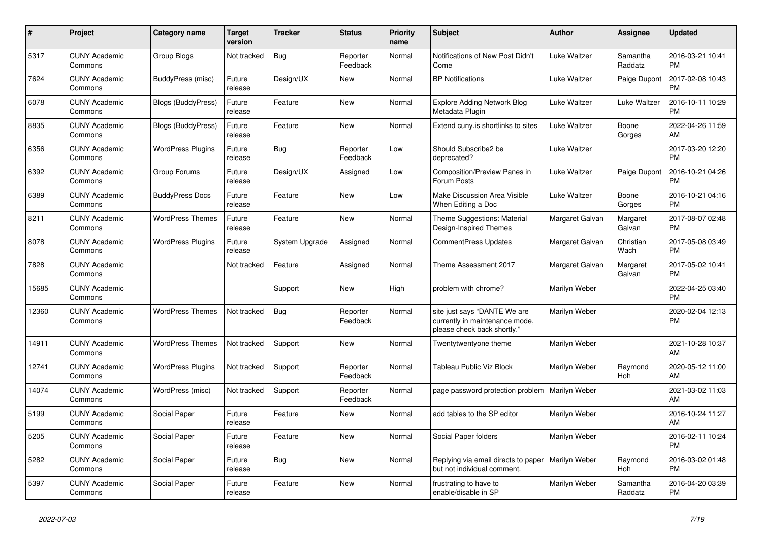| #     | <b>Project</b>                  | Category name             | <b>Target</b><br>version | <b>Tracker</b> | <b>Status</b>        | <b>Priority</b><br>name | <b>Subject</b>                                                                                | <b>Author</b>   | Assignee            | <b>Updated</b>                |
|-------|---------------------------------|---------------------------|--------------------------|----------------|----------------------|-------------------------|-----------------------------------------------------------------------------------------------|-----------------|---------------------|-------------------------------|
| 5317  | <b>CUNY Academic</b><br>Commons | Group Blogs               | Not tracked              | Bug            | Reporter<br>Feedback | Normal                  | Notifications of New Post Didn't<br>Come                                                      | Luke Waltzer    | Samantha<br>Raddatz | 2016-03-21 10:41<br>PM        |
| 7624  | <b>CUNY Academic</b><br>Commons | BuddyPress (misc)         | Future<br>release        | Design/UX      | New                  | Normal                  | <b>BP Notifications</b>                                                                       | Luke Waltzer    | Paige Dupont        | 2017-02-08 10:43<br><b>PM</b> |
| 6078  | <b>CUNY Academic</b><br>Commons | <b>Blogs (BuddyPress)</b> | Future<br>release        | Feature        | <b>New</b>           | Normal                  | <b>Explore Adding Network Blog</b><br>Metadata Plugin                                         | Luke Waltzer    | Luke Waltzer        | 2016-10-11 10:29<br><b>PM</b> |
| 8835  | <b>CUNY Academic</b><br>Commons | <b>Blogs (BuddyPress)</b> | Future<br>release        | Feature        | New                  | Normal                  | Extend cuny. is shortlinks to sites                                                           | Luke Waltzer    | Boone<br>Gorges     | 2022-04-26 11:59<br>AM        |
| 6356  | <b>CUNY Academic</b><br>Commons | <b>WordPress Plugins</b>  | Future<br>release        | Bug            | Reporter<br>Feedback | Low                     | Should Subscribe2 be<br>deprecated?                                                           | Luke Waltzer    |                     | 2017-03-20 12:20<br><b>PM</b> |
| 6392  | <b>CUNY Academic</b><br>Commons | Group Forums              | Future<br>release        | Design/UX      | Assigned             | Low                     | Composition/Preview Panes in<br>Forum Posts                                                   | Luke Waltzer    | Paige Dupont        | 2016-10-21 04:26<br><b>PM</b> |
| 6389  | <b>CUNY Academic</b><br>Commons | <b>BuddyPress Docs</b>    | Future<br>release        | Feature        | <b>New</b>           | Low                     | Make Discussion Area Visible<br>When Editing a Doc                                            | Luke Waltzer    | Boone<br>Gorges     | 2016-10-21 04:16<br><b>PM</b> |
| 8211  | <b>CUNY Academic</b><br>Commons | <b>WordPress Themes</b>   | Future<br>release        | Feature        | <b>New</b>           | Normal                  | Theme Suggestions: Material<br>Design-Inspired Themes                                         | Margaret Galvan | Margaret<br>Galvan  | 2017-08-07 02:48<br><b>PM</b> |
| 8078  | <b>CUNY Academic</b><br>Commons | <b>WordPress Plugins</b>  | Future<br>release        | System Upgrade | Assigned             | Normal                  | <b>CommentPress Updates</b>                                                                   | Margaret Galvan | Christian<br>Wach   | 2017-05-08 03:49<br><b>PM</b> |
| 7828  | <b>CUNY Academic</b><br>Commons |                           | Not tracked              | Feature        | Assigned             | Normal                  | Theme Assessment 2017                                                                         | Margaret Galvan | Margaret<br>Galvan  | 2017-05-02 10:41<br><b>PM</b> |
| 15685 | <b>CUNY Academic</b><br>Commons |                           |                          | Support        | New                  | High                    | problem with chrome?                                                                          | Marilyn Weber   |                     | 2022-04-25 03:40<br>PM.       |
| 12360 | <b>CUNY Academic</b><br>Commons | <b>WordPress Themes</b>   | Not tracked              | Bug            | Reporter<br>Feedback | Normal                  | site just says "DANTE We are<br>currently in maintenance mode,<br>please check back shortly." | Marilyn Weber   |                     | 2020-02-04 12:13<br><b>PM</b> |
| 14911 | <b>CUNY Academic</b><br>Commons | <b>WordPress Themes</b>   | Not tracked              | Support        | <b>New</b>           | Normal                  | Twentytwentyone theme                                                                         | Marilyn Weber   |                     | 2021-10-28 10:37<br>AM        |
| 12741 | <b>CUNY Academic</b><br>Commons | <b>WordPress Plugins</b>  | Not tracked              | Support        | Reporter<br>Feedback | Normal                  | Tableau Public Viz Block                                                                      | Marilyn Weber   | Raymond<br>Hoh      | 2020-05-12 11:00<br>AM        |
| 14074 | <b>CUNY Academic</b><br>Commons | WordPress (misc)          | Not tracked              | Support        | Reporter<br>Feedback | Normal                  | page password protection problem   Marilyn Weber                                              |                 |                     | 2021-03-02 11:03<br>AM        |
| 5199  | <b>CUNY Academic</b><br>Commons | Social Paper              | Future<br>release        | Feature        | New                  | Normal                  | add tables to the SP editor                                                                   | Marilyn Weber   |                     | 2016-10-24 11:27<br><b>AM</b> |
| 5205  | <b>CUNY Academic</b><br>Commons | Social Paper              | Future<br>release        | Feature        | <b>New</b>           | Normal                  | Social Paper folders                                                                          | Marilyn Weber   |                     | 2016-02-11 10:24<br><b>PM</b> |
| 5282  | <b>CUNY Academic</b><br>Commons | Social Paper              | Future<br>release        | Bug            | <b>New</b>           | Normal                  | Replying via email directs to paper<br>but not individual comment.                            | Marilyn Weber   | Raymond<br>Hoh      | 2016-03-02 01:48<br><b>PM</b> |
| 5397  | <b>CUNY Academic</b><br>Commons | Social Paper              | Future<br>release        | Feature        | <b>New</b>           | Normal                  | frustrating to have to<br>enable/disable in SP                                                | Marilyn Weber   | Samantha<br>Raddatz | 2016-04-20 03:39<br>PM        |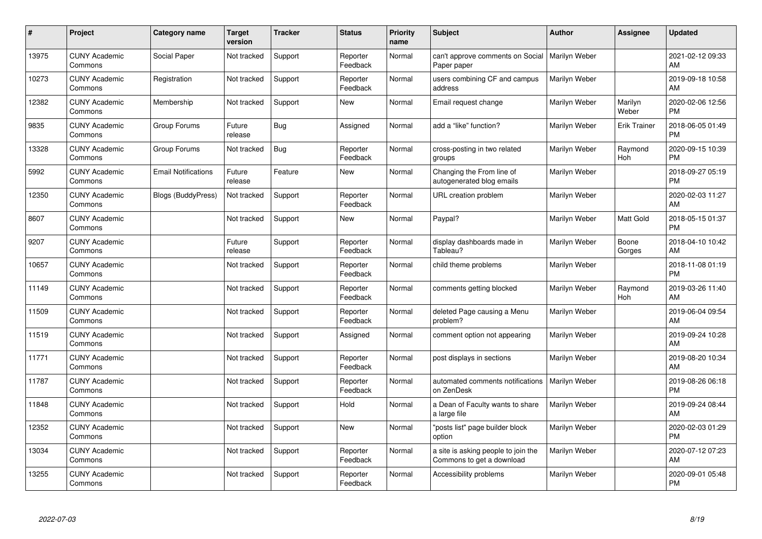| #     | Project                         | <b>Category name</b>       | <b>Target</b><br>version | <b>Tracker</b> | <b>Status</b>        | Priority<br>name | <b>Subject</b>                                                   | <b>Author</b> | <b>Assignee</b>     | <b>Updated</b>                |
|-------|---------------------------------|----------------------------|--------------------------|----------------|----------------------|------------------|------------------------------------------------------------------|---------------|---------------------|-------------------------------|
| 13975 | <b>CUNY Academic</b><br>Commons | Social Paper               | Not tracked              | Support        | Reporter<br>Feedback | Normal           | can't approve comments on Social<br>Paper paper                  | Marilyn Weber |                     | 2021-02-12 09:33<br>AM        |
| 10273 | <b>CUNY Academic</b><br>Commons | Registration               | Not tracked              | Support        | Reporter<br>Feedback | Normal           | users combining CF and campus<br>address                         | Marilyn Weber |                     | 2019-09-18 10:58<br>AM        |
| 12382 | <b>CUNY Academic</b><br>Commons | Membership                 | Not tracked              | Support        | <b>New</b>           | Normal           | Email request change                                             | Marilyn Weber | Marilyn<br>Weber    | 2020-02-06 12:56<br><b>PM</b> |
| 9835  | <b>CUNY Academic</b><br>Commons | Group Forums               | Future<br>release        | Bug            | Assigned             | Normal           | add a "like" function?                                           | Marilyn Weber | <b>Erik Trainer</b> | 2018-06-05 01:49<br><b>PM</b> |
| 13328 | <b>CUNY Academic</b><br>Commons | Group Forums               | Not tracked              | Bug            | Reporter<br>Feedback | Normal           | cross-posting in two related<br>groups                           | Marilyn Weber | Raymond<br>Hoh      | 2020-09-15 10:39<br><b>PM</b> |
| 5992  | <b>CUNY Academic</b><br>Commons | <b>Email Notifications</b> | Future<br>release        | Feature        | <b>New</b>           | Normal           | Changing the From line of<br>autogenerated blog emails           | Marilyn Weber |                     | 2018-09-27 05:19<br><b>PM</b> |
| 12350 | <b>CUNY Academic</b><br>Commons | <b>Blogs (BuddyPress)</b>  | Not tracked              | Support        | Reporter<br>Feedback | Normal           | URL creation problem                                             | Marilyn Weber |                     | 2020-02-03 11:27<br>AM        |
| 8607  | <b>CUNY Academic</b><br>Commons |                            | Not tracked              | Support        | <b>New</b>           | Normal           | Paypal?                                                          | Marilyn Weber | Matt Gold           | 2018-05-15 01:37<br><b>PM</b> |
| 9207  | <b>CUNY Academic</b><br>Commons |                            | Future<br>release        | Support        | Reporter<br>Feedback | Normal           | display dashboards made in<br>Tableau?                           | Marilyn Weber | Boone<br>Gorges     | 2018-04-10 10:42<br>AM        |
| 10657 | <b>CUNY Academic</b><br>Commons |                            | Not tracked              | Support        | Reporter<br>Feedback | Normal           | child theme problems                                             | Marilyn Weber |                     | 2018-11-08 01:19<br><b>PM</b> |
| 11149 | <b>CUNY Academic</b><br>Commons |                            | Not tracked              | Support        | Reporter<br>Feedback | Normal           | comments getting blocked                                         | Marilyn Weber | Raymond<br>Hoh      | 2019-03-26 11:40<br>AM        |
| 11509 | <b>CUNY Academic</b><br>Commons |                            | Not tracked              | Support        | Reporter<br>Feedback | Normal           | deleted Page causing a Menu<br>problem?                          | Marilyn Weber |                     | 2019-06-04 09:54<br>AM        |
| 11519 | <b>CUNY Academic</b><br>Commons |                            | Not tracked              | Support        | Assigned             | Normal           | comment option not appearing                                     | Marilyn Weber |                     | 2019-09-24 10:28<br>AM        |
| 11771 | <b>CUNY Academic</b><br>Commons |                            | Not tracked              | Support        | Reporter<br>Feedback | Normal           | post displays in sections                                        | Marilyn Weber |                     | 2019-08-20 10:34<br>AM        |
| 11787 | <b>CUNY Academic</b><br>Commons |                            | Not tracked              | Support        | Reporter<br>Feedback | Normal           | automated comments notifications<br>on ZenDesk                   | Marilyn Weber |                     | 2019-08-26 06:18<br><b>PM</b> |
| 11848 | <b>CUNY Academic</b><br>Commons |                            | Not tracked              | Support        | Hold                 | Normal           | a Dean of Faculty wants to share<br>a large file                 | Marilyn Weber |                     | 2019-09-24 08:44<br>AM        |
| 12352 | <b>CUNY Academic</b><br>Commons |                            | Not tracked              | Support        | New                  | Normal           | "posts list" page builder block<br>option                        | Marilyn Weber |                     | 2020-02-03 01:29<br><b>PM</b> |
| 13034 | <b>CUNY Academic</b><br>Commons |                            | Not tracked              | Support        | Reporter<br>Feedback | Normal           | a site is asking people to join the<br>Commons to get a download | Marilyn Weber |                     | 2020-07-12 07:23<br>AM        |
| 13255 | <b>CUNY Academic</b><br>Commons |                            | Not tracked              | Support        | Reporter<br>Feedback | Normal           | Accessibility problems                                           | Marilyn Weber |                     | 2020-09-01 05:48<br><b>PM</b> |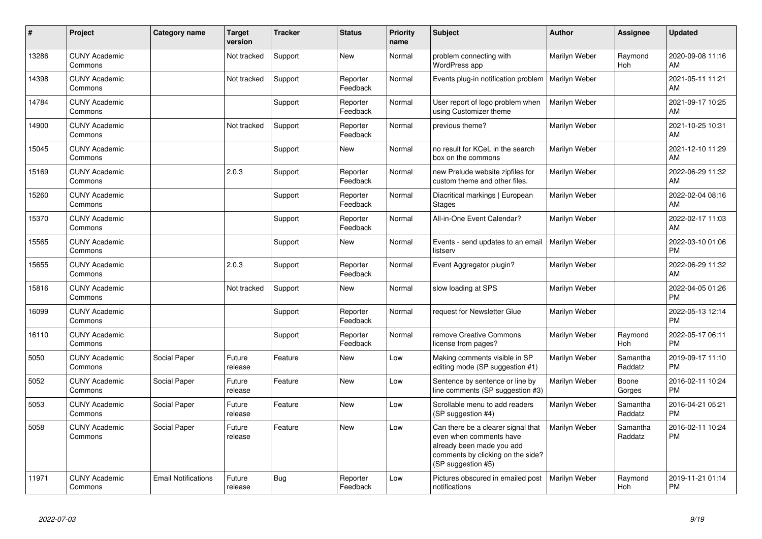| #     | Project                         | <b>Category name</b>       | <b>Target</b><br>version | <b>Tracker</b> | <b>Status</b>        | <b>Priority</b><br>name | <b>Subject</b>                                                                                                                                        | <b>Author</b> | Assignee              | <b>Updated</b>                |
|-------|---------------------------------|----------------------------|--------------------------|----------------|----------------------|-------------------------|-------------------------------------------------------------------------------------------------------------------------------------------------------|---------------|-----------------------|-------------------------------|
| 13286 | <b>CUNY Academic</b><br>Commons |                            | Not tracked              | Support        | <b>New</b>           | Normal                  | problem connecting with<br>WordPress app                                                                                                              | Marilyn Weber | Raymond<br><b>Hoh</b> | 2020-09-08 11:16<br>AM        |
| 14398 | <b>CUNY Academic</b><br>Commons |                            | Not tracked              | Support        | Reporter<br>Feedback | Normal                  | Events plug-in notification problem                                                                                                                   | Marilyn Weber |                       | 2021-05-11 11:21<br>AM        |
| 14784 | <b>CUNY Academic</b><br>Commons |                            |                          | Support        | Reporter<br>Feedback | Normal                  | User report of logo problem when<br>using Customizer theme                                                                                            | Marilyn Weber |                       | 2021-09-17 10:25<br>AM        |
| 14900 | <b>CUNY Academic</b><br>Commons |                            | Not tracked              | Support        | Reporter<br>Feedback | Normal                  | previous theme?                                                                                                                                       | Marilyn Weber |                       | 2021-10-25 10:31<br>AM        |
| 15045 | <b>CUNY Academic</b><br>Commons |                            |                          | Support        | New                  | Normal                  | no result for KCeL in the search<br>box on the commons                                                                                                | Marilyn Weber |                       | 2021-12-10 11:29<br>AM        |
| 15169 | <b>CUNY Academic</b><br>Commons |                            | 2.0.3                    | Support        | Reporter<br>Feedback | Normal                  | new Prelude website zipfiles for<br>custom theme and other files.                                                                                     | Marilyn Weber |                       | 2022-06-29 11:32<br>AM        |
| 15260 | <b>CUNY Academic</b><br>Commons |                            |                          | Support        | Reporter<br>Feedback | Normal                  | Diacritical markings   European<br><b>Stages</b>                                                                                                      | Marilyn Weber |                       | 2022-02-04 08:16<br>AM        |
| 15370 | <b>CUNY Academic</b><br>Commons |                            |                          | Support        | Reporter<br>Feedback | Normal                  | All-in-One Event Calendar?                                                                                                                            | Marilyn Weber |                       | 2022-02-17 11:03<br>AM        |
| 15565 | <b>CUNY Academic</b><br>Commons |                            |                          | Support        | New                  | Normal                  | Events - send updates to an email<br>listserv                                                                                                         | Marilyn Weber |                       | 2022-03-10 01:06<br><b>PM</b> |
| 15655 | <b>CUNY Academic</b><br>Commons |                            | 2.0.3                    | Support        | Reporter<br>Feedback | Normal                  | Event Aggregator plugin?                                                                                                                              | Marilyn Weber |                       | 2022-06-29 11:32<br>AM        |
| 15816 | <b>CUNY Academic</b><br>Commons |                            | Not tracked              | Support        | New                  | Normal                  | slow loading at SPS                                                                                                                                   | Marilyn Weber |                       | 2022-04-05 01:26<br><b>PM</b> |
| 16099 | <b>CUNY Academic</b><br>Commons |                            |                          | Support        | Reporter<br>Feedback | Normal                  | request for Newsletter Glue                                                                                                                           | Marilyn Weber |                       | 2022-05-13 12:14<br><b>PM</b> |
| 16110 | <b>CUNY Academic</b><br>Commons |                            |                          | Support        | Reporter<br>Feedback | Normal                  | remove Creative Commons<br>license from pages?                                                                                                        | Marilyn Weber | Raymond<br>Hoh        | 2022-05-17 06:11<br><b>PM</b> |
| 5050  | <b>CUNY Academic</b><br>Commons | Social Paper               | Future<br>release        | Feature        | New                  | Low                     | Making comments visible in SP<br>editing mode (SP suggestion #1)                                                                                      | Marilyn Weber | Samantha<br>Raddatz   | 2019-09-17 11:10<br><b>PM</b> |
| 5052  | <b>CUNY Academic</b><br>Commons | Social Paper               | Future<br>release        | Feature        | <b>New</b>           | Low                     | Sentence by sentence or line by<br>line comments (SP suggestion #3)                                                                                   | Marilyn Weber | Boone<br>Gorges       | 2016-02-11 10:24<br><b>PM</b> |
| 5053  | <b>CUNY Academic</b><br>Commons | Social Paper               | Future<br>release        | Feature        | <b>New</b>           | Low                     | Scrollable menu to add readers<br>(SP suggestion #4)                                                                                                  | Marilyn Weber | Samantha<br>Raddatz   | 2016-04-21 05:21<br><b>PM</b> |
| 5058  | <b>CUNY Academic</b><br>Commons | Social Paper               | Future<br>release        | Feature        | <b>New</b>           | Low                     | Can there be a clearer signal that<br>even when comments have<br>already been made you add<br>comments by clicking on the side?<br>(SP suggestion #5) | Marilyn Weber | Samantha<br>Raddatz   | 2016-02-11 10:24<br><b>PM</b> |
| 11971 | <b>CUNY Academic</b><br>Commons | <b>Email Notifications</b> | Future<br>release        | Bug            | Reporter<br>Feedback | Low                     | Pictures obscured in emailed post<br>notifications                                                                                                    | Marilyn Weber | Raymond<br>Hoh        | 2019-11-21 01:14<br><b>PM</b> |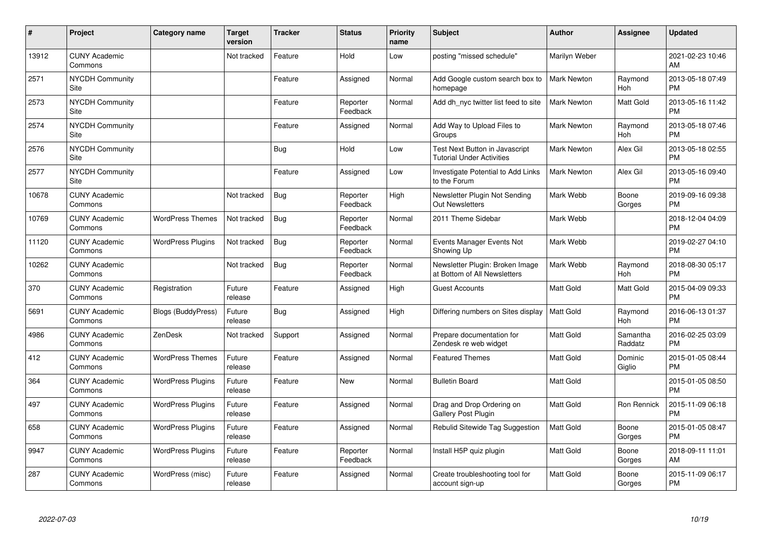| $\#$  | Project                         | <b>Category name</b>      | <b>Target</b><br>version | <b>Tracker</b> | <b>Status</b>        | <b>Priority</b><br>name | <b>Subject</b>                                                     | <b>Author</b>      | <b>Assignee</b>     | <b>Updated</b>                |
|-------|---------------------------------|---------------------------|--------------------------|----------------|----------------------|-------------------------|--------------------------------------------------------------------|--------------------|---------------------|-------------------------------|
| 13912 | <b>CUNY Academic</b><br>Commons |                           | Not tracked              | Feature        | Hold                 | Low                     | posting "missed schedule"                                          | Marilyn Weber      |                     | 2021-02-23 10:46<br>AM        |
| 2571  | NYCDH Community<br>Site         |                           |                          | Feature        | Assigned             | Normal                  | Add Google custom search box to<br>homepage                        | <b>Mark Newton</b> | Raymond<br>Hoh      | 2013-05-18 07:49<br><b>PM</b> |
| 2573  | <b>NYCDH Community</b><br>Site  |                           |                          | Feature        | Reporter<br>Feedback | Normal                  | Add dh nyc twitter list feed to site                               | <b>Mark Newton</b> | Matt Gold           | 2013-05-16 11:42<br><b>PM</b> |
| 2574  | NYCDH Community<br>Site         |                           |                          | Feature        | Assigned             | Normal                  | Add Way to Upload Files to<br>Groups                               | <b>Mark Newton</b> | Raymond<br>Hoh      | 2013-05-18 07:46<br><b>PM</b> |
| 2576  | <b>NYCDH Community</b><br>Site  |                           |                          | Bug            | Hold                 | Low                     | Test Next Button in Javascript<br><b>Tutorial Under Activities</b> | <b>Mark Newton</b> | Alex Gil            | 2013-05-18 02:55<br><b>PM</b> |
| 2577  | <b>NYCDH Community</b><br>Site  |                           |                          | Feature        | Assigned             | Low                     | Investigate Potential to Add Links<br>to the Forum                 | <b>Mark Newton</b> | Alex Gil            | 2013-05-16 09:40<br><b>PM</b> |
| 10678 | <b>CUNY Academic</b><br>Commons |                           | Not tracked              | <b>Bug</b>     | Reporter<br>Feedback | High                    | Newsletter Plugin Not Sending<br><b>Out Newsletters</b>            | Mark Webb          | Boone<br>Gorges     | 2019-09-16 09:38<br><b>PM</b> |
| 10769 | <b>CUNY Academic</b><br>Commons | <b>WordPress Themes</b>   | Not tracked              | <b>Bug</b>     | Reporter<br>Feedback | Normal                  | 2011 Theme Sidebar                                                 | Mark Webb          |                     | 2018-12-04 04:09<br><b>PM</b> |
| 11120 | <b>CUNY Academic</b><br>Commons | <b>WordPress Plugins</b>  | Not tracked              | Bug            | Reporter<br>Feedback | Normal                  | Events Manager Events Not<br>Showing Up                            | Mark Webb          |                     | 2019-02-27 04:10<br><b>PM</b> |
| 10262 | <b>CUNY Academic</b><br>Commons |                           | Not tracked              | <b>Bug</b>     | Reporter<br>Feedback | Normal                  | Newsletter Plugin: Broken Image<br>at Bottom of All Newsletters    | Mark Webb          | Raymond<br>Hoh      | 2018-08-30 05:17<br><b>PM</b> |
| 370   | <b>CUNY Academic</b><br>Commons | Registration              | Future<br>release        | Feature        | Assigned             | High                    | <b>Guest Accounts</b>                                              | <b>Matt Gold</b>   | Matt Gold           | 2015-04-09 09:33<br><b>PM</b> |
| 5691  | <b>CUNY Academic</b><br>Commons | <b>Blogs (BuddyPress)</b> | Future<br>release        | Bug            | Assigned             | High                    | Differing numbers on Sites display                                 | <b>Matt Gold</b>   | Raymond<br>Hoh      | 2016-06-13 01:37<br><b>PM</b> |
| 4986  | <b>CUNY Academic</b><br>Commons | ZenDesk                   | Not tracked              | Support        | Assigned             | Normal                  | Prepare documentation for<br>Zendesk re web widget                 | <b>Matt Gold</b>   | Samantha<br>Raddatz | 2016-02-25 03:09<br><b>PM</b> |
| 412   | <b>CUNY Academic</b><br>Commons | <b>WordPress Themes</b>   | Future<br>release        | Feature        | Assigned             | Normal                  | <b>Featured Themes</b>                                             | <b>Matt Gold</b>   | Dominic<br>Giglio   | 2015-01-05 08:44<br><b>PM</b> |
| 364   | <b>CUNY Academic</b><br>Commons | <b>WordPress Plugins</b>  | Future<br>release        | Feature        | New                  | Normal                  | <b>Bulletin Board</b>                                              | <b>Matt Gold</b>   |                     | 2015-01-05 08:50<br><b>PM</b> |
| 497   | <b>CUNY Academic</b><br>Commons | <b>WordPress Plugins</b>  | Future<br>release        | Feature        | Assigned             | Normal                  | Drag and Drop Ordering on<br><b>Gallery Post Plugin</b>            | Matt Gold          | Ron Rennick         | 2015-11-09 06:18<br><b>PM</b> |
| 658   | <b>CUNY Academic</b><br>Commons | <b>WordPress Plugins</b>  | Future<br>release        | Feature        | Assigned             | Normal                  | Rebulid Sitewide Tag Suggestion                                    | Matt Gold          | Boone<br>Gorges     | 2015-01-05 08:47<br><b>PM</b> |
| 9947  | <b>CUNY Academic</b><br>Commons | <b>WordPress Plugins</b>  | Future<br>release        | Feature        | Reporter<br>Feedback | Normal                  | Install H5P quiz plugin                                            | Matt Gold          | Boone<br>Gorges     | 2018-09-11 11:01<br>AM        |
| 287   | <b>CUNY Academic</b><br>Commons | WordPress (misc)          | Future<br>release        | Feature        | Assigned             | Normal                  | Create troubleshooting tool for<br>account sign-up                 | <b>Matt Gold</b>   | Boone<br>Gorges     | 2015-11-09 06:17<br><b>PM</b> |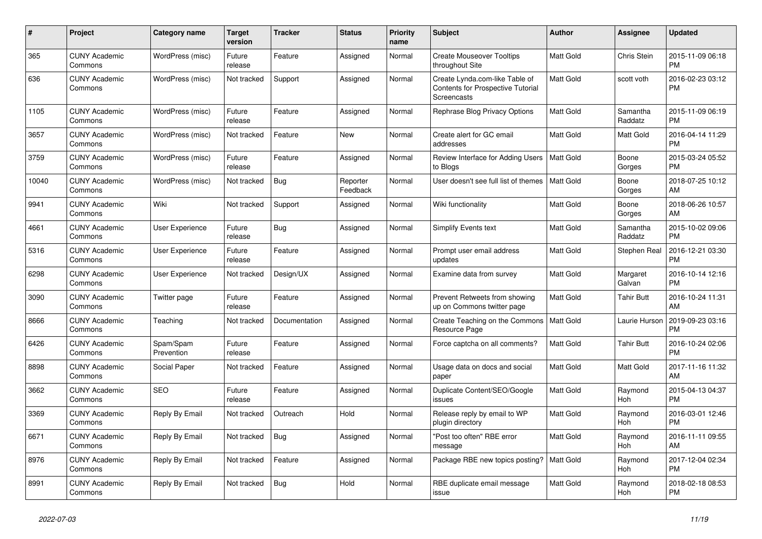| $\pmb{\#}$ | Project                         | Category name           | <b>Target</b><br>version | <b>Tracker</b> | <b>Status</b>        | <b>Priority</b><br>name | <b>Subject</b>                                                                            | <b>Author</b>    | Assignee            | <b>Updated</b>                |
|------------|---------------------------------|-------------------------|--------------------------|----------------|----------------------|-------------------------|-------------------------------------------------------------------------------------------|------------------|---------------------|-------------------------------|
| 365        | <b>CUNY Academic</b><br>Commons | WordPress (misc)        | Future<br>release        | Feature        | Assigned             | Normal                  | <b>Create Mouseover Tooltips</b><br>throughout Site                                       | <b>Matt Gold</b> | Chris Stein         | 2015-11-09 06:18<br><b>PM</b> |
| 636        | <b>CUNY Academic</b><br>Commons | WordPress (misc)        | Not tracked              | Support        | Assigned             | Normal                  | Create Lynda.com-like Table of<br><b>Contents for Prospective Tutorial</b><br>Screencasts | Matt Gold        | scott voth          | 2016-02-23 03:12<br><b>PM</b> |
| 1105       | <b>CUNY Academic</b><br>Commons | WordPress (misc)        | Future<br>release        | Feature        | Assigned             | Normal                  | Rephrase Blog Privacy Options                                                             | <b>Matt Gold</b> | Samantha<br>Raddatz | 2015-11-09 06:19<br><b>PM</b> |
| 3657       | <b>CUNY Academic</b><br>Commons | WordPress (misc)        | Not tracked              | Feature        | <b>New</b>           | Normal                  | Create alert for GC email<br>addresses                                                    | Matt Gold        | Matt Gold           | 2016-04-14 11:29<br><b>PM</b> |
| 3759       | <b>CUNY Academic</b><br>Commons | WordPress (misc)        | Future<br>release        | Feature        | Assigned             | Normal                  | Review Interface for Adding Users<br>to Blogs                                             | Matt Gold        | Boone<br>Gorges     | 2015-03-24 05:52<br><b>PM</b> |
| 10040      | <b>CUNY Academic</b><br>Commons | WordPress (misc)        | Not tracked              | Bug            | Reporter<br>Feedback | Normal                  | User doesn't see full list of themes                                                      | <b>Matt Gold</b> | Boone<br>Gorges     | 2018-07-25 10:12<br>AM        |
| 9941       | <b>CUNY Academic</b><br>Commons | Wiki                    | Not tracked              | Support        | Assigned             | Normal                  | Wiki functionality                                                                        | Matt Gold        | Boone<br>Gorges     | 2018-06-26 10:57<br>AM        |
| 4661       | <b>CUNY Academic</b><br>Commons | User Experience         | Future<br>release        | Bug            | Assigned             | Normal                  | Simplify Events text                                                                      | Matt Gold        | Samantha<br>Raddatz | 2015-10-02 09:06<br><b>PM</b> |
| 5316       | <b>CUNY Academic</b><br>Commons | <b>User Experience</b>  | Future<br>release        | Feature        | Assigned             | Normal                  | Prompt user email address<br>updates                                                      | Matt Gold        | Stephen Real        | 2016-12-21 03:30<br><b>PM</b> |
| 6298       | <b>CUNY Academic</b><br>Commons | User Experience         | Not tracked              | Design/UX      | Assigned             | Normal                  | Examine data from survey                                                                  | <b>Matt Gold</b> | Margaret<br>Galvan  | 2016-10-14 12:16<br><b>PM</b> |
| 3090       | <b>CUNY Academic</b><br>Commons | Twitter page            | Future<br>release        | Feature        | Assigned             | Normal                  | Prevent Retweets from showing<br>up on Commons twitter page                               | Matt Gold        | <b>Tahir Butt</b>   | 2016-10-24 11:31<br>AM        |
| 8666       | <b>CUNY Academic</b><br>Commons | Teaching                | Not tracked              | Documentation  | Assigned             | Normal                  | Create Teaching on the Commons<br>Resource Page                                           | Matt Gold        | Laurie Hurson       | 2019-09-23 03:16<br><b>PM</b> |
| 6426       | <b>CUNY Academic</b><br>Commons | Spam/Spam<br>Prevention | Future<br>release        | Feature        | Assigned             | Normal                  | Force captcha on all comments?                                                            | Matt Gold        | Tahir Butt          | 2016-10-24 02:06<br><b>PM</b> |
| 8898       | <b>CUNY Academic</b><br>Commons | Social Paper            | Not tracked              | Feature        | Assigned             | Normal                  | Usage data on docs and social<br>paper                                                    | Matt Gold        | Matt Gold           | 2017-11-16 11:32<br>AM        |
| 3662       | <b>CUNY Academic</b><br>Commons | <b>SEO</b>              | Future<br>release        | Feature        | Assigned             | Normal                  | Duplicate Content/SEO/Google<br>issues                                                    | Matt Gold        | Raymond<br>Hoh      | 2015-04-13 04:37<br><b>PM</b> |
| 3369       | <b>CUNY Academic</b><br>Commons | Reply By Email          | Not tracked              | Outreach       | Hold                 | Normal                  | Release reply by email to WP<br>plugin directory                                          | <b>Matt Gold</b> | Raymond<br>Hoh      | 2016-03-01 12:46<br><b>PM</b> |
| 6671       | <b>CUNY Academic</b><br>Commons | Reply By Email          | Not tracked              | Bug            | Assigned             | Normal                  | "Post too often" RBE error<br>message                                                     | Matt Gold        | Raymond<br>Hoh      | 2016-11-11 09:55<br>AM        |
| 8976       | <b>CUNY Academic</b><br>Commons | Reply By Email          | Not tracked              | Feature        | Assigned             | Normal                  | Package RBE new topics posting?                                                           | Matt Gold        | Raymond<br>Hoh      | 2017-12-04 02:34<br><b>PM</b> |
| 8991       | <b>CUNY Academic</b><br>Commons | Reply By Email          | Not tracked              | <b>Bug</b>     | Hold                 | Normal                  | RBE duplicate email message<br>issue                                                      | <b>Matt Gold</b> | Raymond<br>Hoh      | 2018-02-18 08:53<br><b>PM</b> |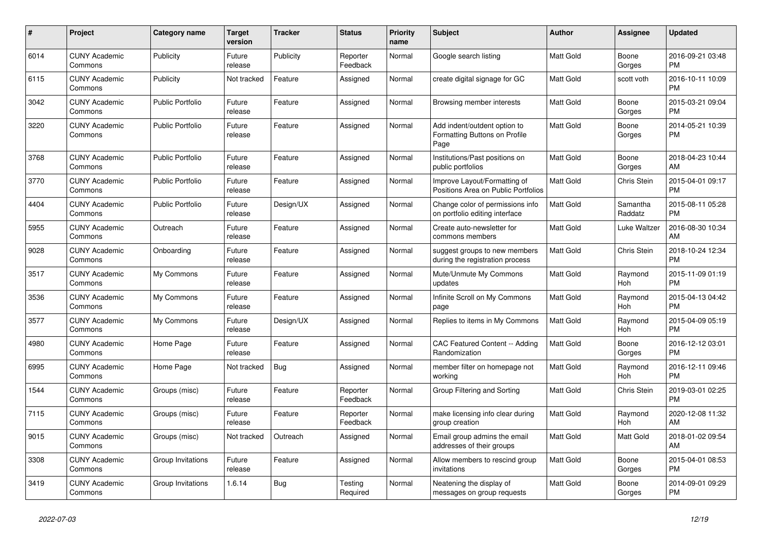| $\#$ | Project                         | <b>Category name</b>    | <b>Target</b><br>version | <b>Tracker</b> | <b>Status</b>        | Priority<br>name | <b>Subject</b>                                                        | <b>Author</b>    | <b>Assignee</b>     | <b>Updated</b>                |
|------|---------------------------------|-------------------------|--------------------------|----------------|----------------------|------------------|-----------------------------------------------------------------------|------------------|---------------------|-------------------------------|
| 6014 | <b>CUNY Academic</b><br>Commons | Publicity               | Future<br>release        | Publicity      | Reporter<br>Feedback | Normal           | Google search listing                                                 | Matt Gold        | Boone<br>Gorges     | 2016-09-21 03:48<br><b>PM</b> |
| 6115 | <b>CUNY Academic</b><br>Commons | Publicity               | Not tracked              | Feature        | Assigned             | Normal           | create digital signage for GC                                         | <b>Matt Gold</b> | scott voth          | 2016-10-11 10:09<br><b>PM</b> |
| 3042 | <b>CUNY Academic</b><br>Commons | <b>Public Portfolio</b> | Future<br>release        | Feature        | Assigned             | Normal           | Browsing member interests                                             | Matt Gold        | Boone<br>Gorges     | 2015-03-21 09:04<br><b>PM</b> |
| 3220 | <b>CUNY Academic</b><br>Commons | <b>Public Portfolio</b> | Future<br>release        | Feature        | Assigned             | Normal           | Add indent/outdent option to<br>Formatting Buttons on Profile<br>Page | <b>Matt Gold</b> | Boone<br>Gorges     | 2014-05-21 10:39<br><b>PM</b> |
| 3768 | <b>CUNY Academic</b><br>Commons | <b>Public Portfolio</b> | Future<br>release        | Feature        | Assigned             | Normal           | Institutions/Past positions on<br>public portfolios                   | <b>Matt Gold</b> | Boone<br>Gorges     | 2018-04-23 10:44<br>AM        |
| 3770 | <b>CUNY Academic</b><br>Commons | <b>Public Portfolio</b> | Future<br>release        | Feature        | Assigned             | Normal           | Improve Layout/Formatting of<br>Positions Area on Public Portfolios   | <b>Matt Gold</b> | <b>Chris Stein</b>  | 2015-04-01 09:17<br><b>PM</b> |
| 4404 | <b>CUNY Academic</b><br>Commons | <b>Public Portfolio</b> | Future<br>release        | Design/UX      | Assigned             | Normal           | Change color of permissions info<br>on portfolio editing interface    | Matt Gold        | Samantha<br>Raddatz | 2015-08-11 05:28<br><b>PM</b> |
| 5955 | <b>CUNY Academic</b><br>Commons | Outreach                | Future<br>release        | Feature        | Assigned             | Normal           | Create auto-newsletter for<br>commons members                         | Matt Gold        | Luke Waltzer        | 2016-08-30 10:34<br>AM        |
| 9028 | <b>CUNY Academic</b><br>Commons | Onboarding              | Future<br>release        | Feature        | Assigned             | Normal           | suggest groups to new members<br>during the registration process      | <b>Matt Gold</b> | Chris Stein         | 2018-10-24 12:34<br><b>PM</b> |
| 3517 | <b>CUNY Academic</b><br>Commons | My Commons              | Future<br>release        | Feature        | Assigned             | Normal           | Mute/Unmute My Commons<br>updates                                     | Matt Gold        | Raymond<br>Hoh      | 2015-11-09 01:19<br><b>PM</b> |
| 3536 | <b>CUNY Academic</b><br>Commons | My Commons              | Future<br>release        | Feature        | Assigned             | Normal           | Infinite Scroll on My Commons<br>page                                 | Matt Gold        | Raymond<br>Hoh      | 2015-04-13 04:42<br><b>PM</b> |
| 3577 | <b>CUNY Academic</b><br>Commons | My Commons              | Future<br>release        | Design/UX      | Assigned             | Normal           | Replies to items in My Commons                                        | <b>Matt Gold</b> | Raymond<br>Hoh      | 2015-04-09 05:19<br><b>PM</b> |
| 4980 | <b>CUNY Academic</b><br>Commons | Home Page               | Future<br>release        | Feature        | Assigned             | Normal           | <b>CAC Featured Content -- Adding</b><br>Randomization                | Matt Gold        | Boone<br>Gorges     | 2016-12-12 03:01<br><b>PM</b> |
| 6995 | <b>CUNY Academic</b><br>Commons | Home Page               | Not tracked              | <b>Bug</b>     | Assigned             | Normal           | member filter on homepage not<br>working                              | Matt Gold        | Raymond<br>Hoh      | 2016-12-11 09:46<br><b>PM</b> |
| 1544 | <b>CUNY Academic</b><br>Commons | Groups (misc)           | Future<br>release        | Feature        | Reporter<br>Feedback | Normal           | Group Filtering and Sorting                                           | Matt Gold        | Chris Stein         | 2019-03-01 02:25<br><b>PM</b> |
| 7115 | <b>CUNY Academic</b><br>Commons | Groups (misc)           | Future<br>release        | Feature        | Reporter<br>Feedback | Normal           | make licensing info clear during<br>group creation                    | <b>Matt Gold</b> | Raymond<br>Hoh      | 2020-12-08 11:32<br>AM        |
| 9015 | <b>CUNY Academic</b><br>Commons | Groups (misc)           | Not tracked              | Outreach       | Assigned             | Normal           | Email group admins the email<br>addresses of their groups             | <b>Matt Gold</b> | Matt Gold           | 2018-01-02 09:54<br>AM        |
| 3308 | <b>CUNY Academic</b><br>Commons | Group Invitations       | Future<br>release        | Feature        | Assigned             | Normal           | Allow members to rescind group<br>invitations                         | Matt Gold        | Boone<br>Gorges     | 2015-04-01 08:53<br><b>PM</b> |
| 3419 | <b>CUNY Academic</b><br>Commons | Group Invitations       | 1.6.14                   | <b>Bug</b>     | Testing<br>Required  | Normal           | Neatening the display of<br>messages on group requests                | Matt Gold        | Boone<br>Gorges     | 2014-09-01 09:29<br><b>PM</b> |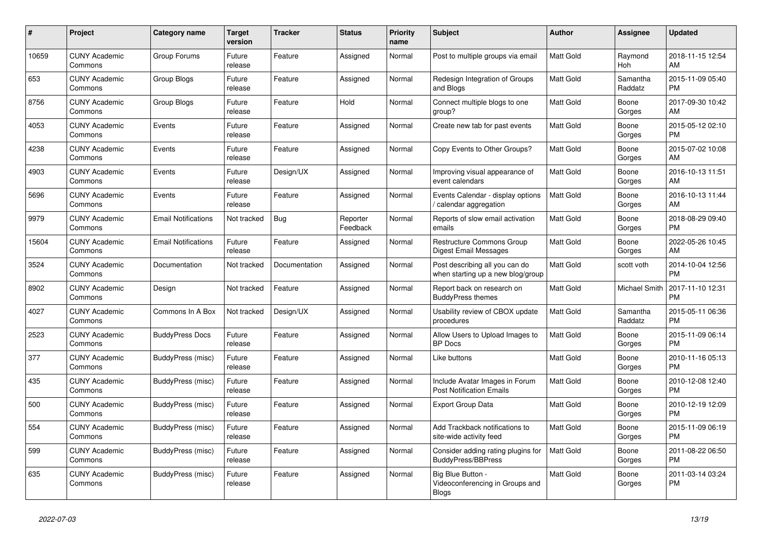| #     | <b>Project</b>                  | Category name              | Target<br>version | <b>Tracker</b> | <b>Status</b>        | Priority<br>name | <b>Subject</b>                                                       | <b>Author</b>    | Assignee            | <b>Updated</b>                |
|-------|---------------------------------|----------------------------|-------------------|----------------|----------------------|------------------|----------------------------------------------------------------------|------------------|---------------------|-------------------------------|
| 10659 | <b>CUNY Academic</b><br>Commons | Group Forums               | Future<br>release | Feature        | Assigned             | Normal           | Post to multiple groups via email                                    | Matt Gold        | Raymond<br>Hoh      | 2018-11-15 12:54<br>AM        |
| 653   | <b>CUNY Academic</b><br>Commons | <b>Group Blogs</b>         | Future<br>release | Feature        | Assigned             | Normal           | Redesign Integration of Groups<br>and Blogs                          | Matt Gold        | Samantha<br>Raddatz | 2015-11-09 05:40<br><b>PM</b> |
| 8756  | <b>CUNY Academic</b><br>Commons | Group Blogs                | Future<br>release | Feature        | Hold                 | Normal           | Connect multiple blogs to one<br>group?                              | <b>Matt Gold</b> | Boone<br>Gorges     | 2017-09-30 10:42<br>AM        |
| 4053  | <b>CUNY Academic</b><br>Commons | Events                     | Future<br>release | Feature        | Assigned             | Normal           | Create new tab for past events                                       | Matt Gold        | Boone<br>Gorges     | 2015-05-12 02:10<br><b>PM</b> |
| 4238  | <b>CUNY Academic</b><br>Commons | Events                     | Future<br>release | Feature        | Assigned             | Normal           | Copy Events to Other Groups?                                         | Matt Gold        | Boone<br>Gorges     | 2015-07-02 10:08<br>AM.       |
| 4903  | <b>CUNY Academic</b><br>Commons | Events                     | Future<br>release | Design/UX      | Assigned             | Normal           | Improving visual appearance of<br>event calendars                    | Matt Gold        | Boone<br>Gorges     | 2016-10-13 11:51<br>AM        |
| 5696  | <b>CUNY Academic</b><br>Commons | Events                     | Future<br>release | Feature        | Assigned             | Normal           | Events Calendar - display options<br>/ calendar aggregation          | <b>Matt Gold</b> | Boone<br>Gorges     | 2016-10-13 11:44<br>AM        |
| 9979  | <b>CUNY Academic</b><br>Commons | <b>Email Notifications</b> | Not tracked       | Bug            | Reporter<br>Feedback | Normal           | Reports of slow email activation<br>emails                           | <b>Matt Gold</b> | Boone<br>Gorges     | 2018-08-29 09:40<br>PM.       |
| 15604 | <b>CUNY Academic</b><br>Commons | <b>Email Notifications</b> | Future<br>release | Feature        | Assigned             | Normal           | <b>Restructure Commons Group</b><br><b>Digest Email Messages</b>     | Matt Gold        | Boone<br>Gorges     | 2022-05-26 10:45<br>AM        |
| 3524  | <b>CUNY Academic</b><br>Commons | Documentation              | Not tracked       | Documentation  | Assigned             | Normal           | Post describing all you can do<br>when starting up a new blog/group  | Matt Gold        | scott voth          | 2014-10-04 12:56<br><b>PM</b> |
| 8902  | <b>CUNY Academic</b><br>Commons | Design                     | Not tracked       | Feature        | Assigned             | Normal           | Report back on research on<br><b>BuddyPress themes</b>               | Matt Gold        | Michael Smith       | 2017-11-10 12:31<br><b>PM</b> |
| 4027  | <b>CUNY Academic</b><br>Commons | Commons In A Box           | Not tracked       | Design/UX      | Assigned             | Normal           | Usability review of CBOX update<br>procedures                        | Matt Gold        | Samantha<br>Raddatz | 2015-05-11 06:36<br><b>PM</b> |
| 2523  | <b>CUNY Academic</b><br>Commons | <b>BuddyPress Docs</b>     | Future<br>release | Feature        | Assigned             | Normal           | Allow Users to Upload Images to<br><b>BP</b> Docs                    | <b>Matt Gold</b> | Boone<br>Gorges     | 2015-11-09 06:14<br><b>PM</b> |
| 377   | <b>CUNY Academic</b><br>Commons | BuddyPress (misc)          | Future<br>release | Feature        | Assigned             | Normal           | Like buttons                                                         | <b>Matt Gold</b> | Boone<br>Gorges     | 2010-11-16 05:13<br>PM.       |
| 435   | <b>CUNY Academic</b><br>Commons | BuddyPress (misc)          | Future<br>release | Feature        | Assigned             | Normal           | Include Avatar Images in Forum<br><b>Post Notification Emails</b>    | Matt Gold        | Boone<br>Gorges     | 2010-12-08 12:40<br><b>PM</b> |
| 500   | <b>CUNY Academic</b><br>Commons | BuddyPress (misc)          | Future<br>release | Feature        | Assigned             | Normal           | <b>Export Group Data</b>                                             | <b>Matt Gold</b> | Boone<br>Gorges     | 2010-12-19 12:09<br><b>PM</b> |
| 554   | <b>CUNY Academic</b><br>Commons | BuddyPress (misc)          | Future<br>release | Feature        | Assigned             | Normal           | Add Trackback notifications to<br>site-wide activity feed            | <b>Matt Gold</b> | Boone<br>Gorges     | 2015-11-09 06:19<br><b>PM</b> |
| 599   | <b>CUNY Academic</b><br>Commons | <b>BuddyPress (misc)</b>   | Future<br>release | Feature        | Assigned             | Normal           | Consider adding rating plugins for<br><b>BuddyPress/BBPress</b>      | Matt Gold        | Boone<br>Gorges     | 2011-08-22 06:50<br><b>PM</b> |
| 635   | <b>CUNY Academic</b><br>Commons | BuddyPress (misc)          | Future<br>release | Feature        | Assigned             | Normal           | Big Blue Button -<br>Videoconferencing in Groups and<br><b>Blogs</b> | Matt Gold        | Boone<br>Gorges     | 2011-03-14 03:24<br><b>PM</b> |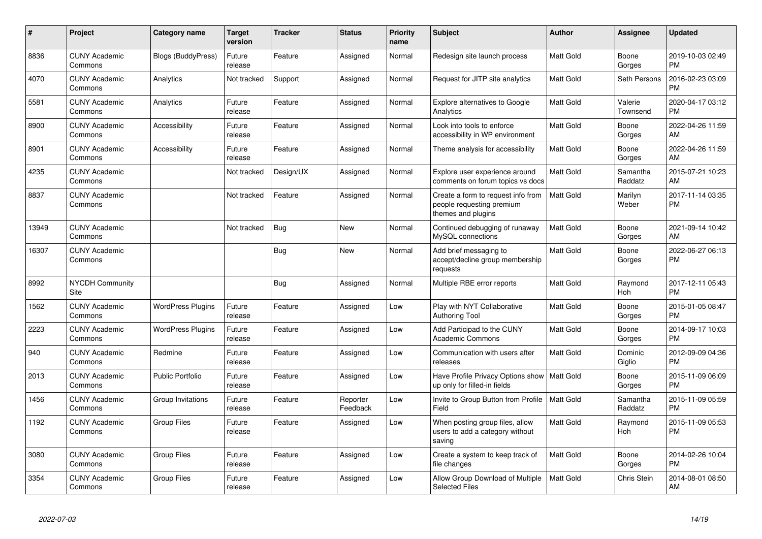| #     | Project                         | <b>Category name</b>     | <b>Target</b><br>version | <b>Tracker</b> | <b>Status</b>        | <b>Priority</b><br>name | <b>Subject</b>                                                                        | <b>Author</b>    | <b>Assignee</b>     | <b>Updated</b>                |
|-------|---------------------------------|--------------------------|--------------------------|----------------|----------------------|-------------------------|---------------------------------------------------------------------------------------|------------------|---------------------|-------------------------------|
| 8836  | <b>CUNY Academic</b><br>Commons | Blogs (BuddyPress)       | Future<br>release        | Feature        | Assigned             | Normal                  | Redesign site launch process                                                          | <b>Matt Gold</b> | Boone<br>Gorges     | 2019-10-03 02:49<br><b>PM</b> |
| 4070  | <b>CUNY Academic</b><br>Commons | Analytics                | Not tracked              | Support        | Assigned             | Normal                  | Request for JITP site analytics                                                       | <b>Matt Gold</b> | Seth Persons        | 2016-02-23 03:09<br><b>PM</b> |
| 5581  | <b>CUNY Academic</b><br>Commons | Analytics                | Future<br>release        | Feature        | Assigned             | Normal                  | Explore alternatives to Google<br>Analytics                                           | <b>Matt Gold</b> | Valerie<br>Townsend | 2020-04-17 03:12<br><b>PM</b> |
| 8900  | <b>CUNY Academic</b><br>Commons | Accessibility            | Future<br>release        | Feature        | Assigned             | Normal                  | Look into tools to enforce<br>accessibility in WP environment                         | <b>Matt Gold</b> | Boone<br>Gorges     | 2022-04-26 11:59<br>AM        |
| 8901  | <b>CUNY Academic</b><br>Commons | Accessibility            | Future<br>release        | Feature        | Assigned             | Normal                  | Theme analysis for accessibility                                                      | <b>Matt Gold</b> | Boone<br>Gorges     | 2022-04-26 11:59<br>AM        |
| 4235  | <b>CUNY Academic</b><br>Commons |                          | Not tracked              | Design/UX      | Assigned             | Normal                  | Explore user experience around<br>comments on forum topics vs docs                    | <b>Matt Gold</b> | Samantha<br>Raddatz | 2015-07-21 10:23<br>AM        |
| 8837  | <b>CUNY Academic</b><br>Commons |                          | Not tracked              | Feature        | Assigned             | Normal                  | Create a form to request info from<br>people requesting premium<br>themes and plugins | <b>Matt Gold</b> | Marilyn<br>Weber    | 2017-11-14 03:35<br><b>PM</b> |
| 13949 | <b>CUNY Academic</b><br>Commons |                          | Not tracked              | Bug            | <b>New</b>           | Normal                  | Continued debugging of runaway<br>MySQL connections                                   | <b>Matt Gold</b> | Boone<br>Gorges     | 2021-09-14 10:42<br>AM        |
| 16307 | <b>CUNY Academic</b><br>Commons |                          |                          | Bug            | New                  | Normal                  | Add brief messaging to<br>accept/decline group membership<br>requests                 | <b>Matt Gold</b> | Boone<br>Gorges     | 2022-06-27 06:13<br><b>PM</b> |
| 8992  | <b>NYCDH Community</b><br>Site  |                          |                          | Bug            | Assigned             | Normal                  | Multiple RBE error reports                                                            | Matt Gold        | Raymond<br>Hoh      | 2017-12-11 05:43<br><b>PM</b> |
| 1562  | <b>CUNY Academic</b><br>Commons | <b>WordPress Plugins</b> | Future<br>release        | Feature        | Assigned             | Low                     | Play with NYT Collaborative<br>Authoring Tool                                         | <b>Matt Gold</b> | Boone<br>Gorges     | 2015-01-05 08:47<br><b>PM</b> |
| 2223  | <b>CUNY Academic</b><br>Commons | <b>WordPress Plugins</b> | Future<br>release        | Feature        | Assigned             | Low                     | Add Participad to the CUNY<br><b>Academic Commons</b>                                 | <b>Matt Gold</b> | Boone<br>Gorges     | 2014-09-17 10:03<br><b>PM</b> |
| 940   | <b>CUNY Academic</b><br>Commons | Redmine                  | Future<br>release        | Feature        | Assigned             | Low                     | Communication with users after<br>releases                                            | <b>Matt Gold</b> | Dominic<br>Giglio   | 2012-09-09 04:36<br><b>PM</b> |
| 2013  | <b>CUNY Academic</b><br>Commons | <b>Public Portfolio</b>  | Future<br>release        | Feature        | Assigned             | Low                     | Have Profile Privacy Options show   Matt Gold<br>up only for filled-in fields         |                  | Boone<br>Gorges     | 2015-11-09 06:09<br><b>PM</b> |
| 1456  | <b>CUNY Academic</b><br>Commons | Group Invitations        | Future<br>release        | Feature        | Reporter<br>Feedback | Low                     | Invite to Group Button from Profile<br>Field                                          | <b>Matt Gold</b> | Samantha<br>Raddatz | 2015-11-09 05:59<br><b>PM</b> |
| 1192  | <b>CUNY Academic</b><br>Commons | Group Files              | Future<br>release        | Feature        | Assigned             | Low                     | When posting group files, allow<br>users to add a category without<br>saving          | Matt Gold        | Raymond<br>Hoh      | 2015-11-09 05:53<br><b>PM</b> |
| 3080  | <b>CUNY Academic</b><br>Commons | <b>Group Files</b>       | Future<br>release        | Feature        | Assigned             | Low                     | Create a system to keep track of<br>file changes                                      | <b>Matt Gold</b> | Boone<br>Gorges     | 2014-02-26 10:04<br><b>PM</b> |
| 3354  | <b>CUNY Academic</b><br>Commons | <b>Group Files</b>       | Future<br>release        | Feature        | Assigned             | Low                     | Allow Group Download of Multiple<br><b>Selected Files</b>                             | <b>Matt Gold</b> | Chris Stein         | 2014-08-01 08:50<br>AM        |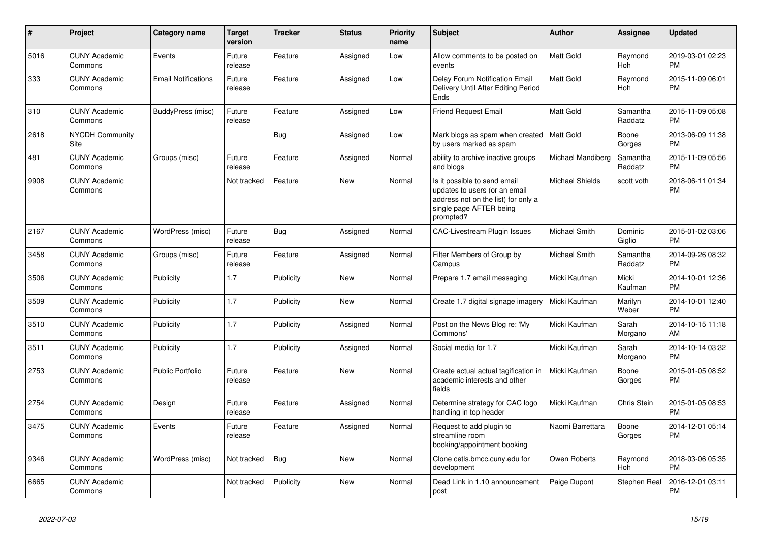| #    | <b>Project</b>                  | Category name              | <b>Target</b><br>version | <b>Tracker</b> | <b>Status</b> | <b>Priority</b><br>name | <b>Subject</b>                                                                                                                               | <b>Author</b>          | Assignee            | <b>Updated</b>                |
|------|---------------------------------|----------------------------|--------------------------|----------------|---------------|-------------------------|----------------------------------------------------------------------------------------------------------------------------------------------|------------------------|---------------------|-------------------------------|
| 5016 | <b>CUNY Academic</b><br>Commons | Events                     | Future<br>release        | Feature        | Assigned      | Low                     | Allow comments to be posted on<br>events                                                                                                     | Matt Gold              | Raymond<br>Hoh      | 2019-03-01 02:23<br><b>PM</b> |
| 333  | <b>CUNY Academic</b><br>Commons | <b>Email Notifications</b> | Future<br>release        | Feature        | Assigned      | Low                     | Delay Forum Notification Email<br>Delivery Until After Editing Period<br>Ends                                                                | <b>Matt Gold</b>       | Raymond<br>Hoh      | 2015-11-09 06:01<br><b>PM</b> |
| 310  | <b>CUNY Academic</b><br>Commons | BuddyPress (misc)          | Future<br>release        | Feature        | Assigned      | Low                     | <b>Friend Request Email</b>                                                                                                                  | <b>Matt Gold</b>       | Samantha<br>Raddatz | 2015-11-09 05:08<br><b>PM</b> |
| 2618 | <b>NYCDH Community</b><br>Site  |                            |                          | Bug            | Assigned      | Low                     | Mark blogs as spam when created<br>by users marked as spam                                                                                   | l Matt Gold            | Boone<br>Gorges     | 2013-06-09 11:38<br><b>PM</b> |
| 481  | <b>CUNY Academic</b><br>Commons | Groups (misc)              | Future<br>release        | Feature        | Assigned      | Normal                  | ability to archive inactive groups<br>and blogs                                                                                              | Michael Mandiberg      | Samantha<br>Raddatz | 2015-11-09 05:56<br><b>PM</b> |
| 9908 | <b>CUNY Academic</b><br>Commons |                            | Not tracked              | Feature        | New           | Normal                  | Is it possible to send email<br>updates to users (or an email<br>address not on the list) for only a<br>single page AFTER being<br>prompted? | <b>Michael Shields</b> | scott voth          | 2018-06-11 01:34<br><b>PM</b> |
| 2167 | <b>CUNY Academic</b><br>Commons | WordPress (misc)           | Future<br>release        | <b>Bug</b>     | Assigned      | Normal                  | CAC-Livestream Plugin Issues                                                                                                                 | Michael Smith          | Dominic<br>Giglio   | 2015-01-02 03:06<br><b>PM</b> |
| 3458 | <b>CUNY Academic</b><br>Commons | Groups (misc)              | Future<br>release        | Feature        | Assigned      | Normal                  | Filter Members of Group by<br>Campus                                                                                                         | <b>Michael Smith</b>   | Samantha<br>Raddatz | 2014-09-26 08:32<br><b>PM</b> |
| 3506 | <b>CUNY Academic</b><br>Commons | Publicity                  | 1.7                      | Publicity      | <b>New</b>    | Normal                  | Prepare 1.7 email messaging                                                                                                                  | Micki Kaufman          | Micki<br>Kaufman    | 2014-10-01 12:36<br><b>PM</b> |
| 3509 | <b>CUNY Academic</b><br>Commons | Publicity                  | 1.7                      | Publicity      | <b>New</b>    | Normal                  | Create 1.7 digital signage imagery                                                                                                           | Micki Kaufman          | Marilyn<br>Weber    | 2014-10-01 12:40<br><b>PM</b> |
| 3510 | <b>CUNY Academic</b><br>Commons | Publicity                  | 1.7                      | Publicity      | Assigned      | Normal                  | Post on the News Blog re: 'My<br>Commons'                                                                                                    | Micki Kaufman          | Sarah<br>Morgano    | 2014-10-15 11:18<br>AM        |
| 3511 | <b>CUNY Academic</b><br>Commons | Publicity                  | 1.7                      | Publicity      | Assigned      | Normal                  | Social media for 1.7                                                                                                                         | Micki Kaufman          | Sarah<br>Morgano    | 2014-10-14 03:32<br><b>PM</b> |
| 2753 | <b>CUNY Academic</b><br>Commons | <b>Public Portfolio</b>    | Future<br>release        | Feature        | <b>New</b>    | Normal                  | Create actual actual tagification in<br>academic interests and other<br>fields                                                               | Micki Kaufman          | Boone<br>Gorges     | 2015-01-05 08:52<br><b>PM</b> |
| 2754 | <b>CUNY Academic</b><br>Commons | Design                     | Future<br>release        | Feature        | Assigned      | Normal                  | Determine strategy for CAC logo<br>handling in top header                                                                                    | Micki Kaufman          | Chris Stein         | 2015-01-05 08:53<br><b>PM</b> |
| 3475 | <b>CUNY Academic</b><br>Commons | Events                     | Future<br>release        | Feature        | Assigned      | Normal                  | Request to add plugin to<br>streamline room<br>booking/appointment booking                                                                   | Naomi Barrettara       | Boone<br>Gorges     | 2014-12-01 05:14<br><b>PM</b> |
| 9346 | <b>CUNY Academic</b><br>Commons | WordPress (misc)           | Not tracked              | Bug            | <b>New</b>    | Normal                  | Clone cetls.bmcc.cuny.edu for<br>development                                                                                                 | Owen Roberts           | Raymond<br>Hoh      | 2018-03-06 05:35<br><b>PM</b> |
| 6665 | <b>CUNY Academic</b><br>Commons |                            | Not tracked              | Publicity      | <b>New</b>    | Normal                  | Dead Link in 1.10 announcement<br>post                                                                                                       | Paige Dupont           | <b>Stephen Real</b> | 2016-12-01 03:11<br><b>PM</b> |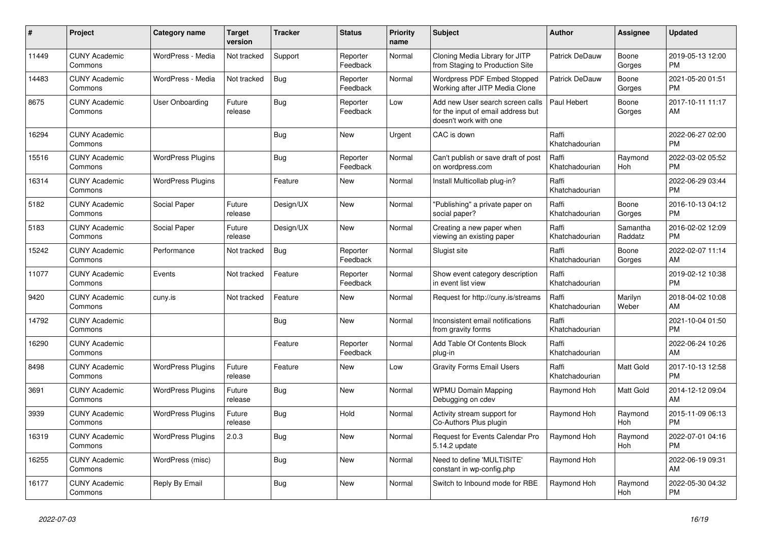| #     | Project                         | <b>Category name</b>     | <b>Target</b><br>version | <b>Tracker</b> | <b>Status</b>        | <b>Priority</b><br>name | <b>Subject</b>                                                                                  | <b>Author</b>           | Assignee            | <b>Updated</b>                |
|-------|---------------------------------|--------------------------|--------------------------|----------------|----------------------|-------------------------|-------------------------------------------------------------------------------------------------|-------------------------|---------------------|-------------------------------|
| 11449 | <b>CUNY Academic</b><br>Commons | WordPress - Media        | Not tracked              | Support        | Reporter<br>Feedback | Normal                  | Cloning Media Library for JITP<br>from Staging to Production Site                               | <b>Patrick DeDauw</b>   | Boone<br>Gorges     | 2019-05-13 12:00<br><b>PM</b> |
| 14483 | <b>CUNY Academic</b><br>Commons | WordPress - Media        | Not tracked              | Bug            | Reporter<br>Feedback | Normal                  | Wordpress PDF Embed Stopped<br>Working after JITP Media Clone                                   | Patrick DeDauw          | Boone<br>Gorges     | 2021-05-20 01:51<br><b>PM</b> |
| 8675  | <b>CUNY Academic</b><br>Commons | User Onboarding          | Future<br>release        | Bug            | Reporter<br>Feedback | Low                     | Add new User search screen calls<br>for the input of email address but<br>doesn't work with one | Paul Hebert             | Boone<br>Gorges     | 2017-10-11 11:17<br>AM        |
| 16294 | <b>CUNY Academic</b><br>Commons |                          |                          | Bug            | <b>New</b>           | Urgent                  | CAC is down                                                                                     | Raffi<br>Khatchadourian |                     | 2022-06-27 02:00<br><b>PM</b> |
| 15516 | <b>CUNY Academic</b><br>Commons | <b>WordPress Plugins</b> |                          | <b>Bug</b>     | Reporter<br>Feedback | Normal                  | Can't publish or save draft of post<br>on wordpress.com                                         | Raffi<br>Khatchadourian | Raymond<br>Hoh      | 2022-03-02 05:52<br><b>PM</b> |
| 16314 | <b>CUNY Academic</b><br>Commons | <b>WordPress Plugins</b> |                          | Feature        | New                  | Normal                  | Install Multicollab plug-in?                                                                    | Raffi<br>Khatchadourian |                     | 2022-06-29 03:44<br><b>PM</b> |
| 5182  | <b>CUNY Academic</b><br>Commons | Social Paper             | Future<br>release        | Design/UX      | <b>New</b>           | Normal                  | "Publishing" a private paper on<br>social paper?                                                | Raffi<br>Khatchadourian | Boone<br>Gorges     | 2016-10-13 04:12<br><b>PM</b> |
| 5183  | <b>CUNY Academic</b><br>Commons | Social Paper             | Future<br>release        | Design/UX      | <b>New</b>           | Normal                  | Creating a new paper when<br>viewing an existing paper                                          | Raffi<br>Khatchadourian | Samantha<br>Raddatz | 2016-02-02 12:09<br><b>PM</b> |
| 15242 | <b>CUNY Academic</b><br>Commons | Performance              | Not tracked              | Bug            | Reporter<br>Feedback | Normal                  | Slugist site                                                                                    | Raffi<br>Khatchadourian | Boone<br>Gorges     | 2022-02-07 11:14<br>AM        |
| 11077 | <b>CUNY Academic</b><br>Commons | Events                   | Not tracked              | Feature        | Reporter<br>Feedback | Normal                  | Show event category description<br>in event list view                                           | Raffi<br>Khatchadourian |                     | 2019-02-12 10:38<br><b>PM</b> |
| 9420  | <b>CUNY Academic</b><br>Commons | cuny.is                  | Not tracked              | Feature        | New                  | Normal                  | Request for http://cuny.is/streams                                                              | Raffi<br>Khatchadourian | Marilyn<br>Weber    | 2018-04-02 10:08<br><b>AM</b> |
| 14792 | <b>CUNY Academic</b><br>Commons |                          |                          | <b>Bug</b>     | New                  | Normal                  | Inconsistent email notifications<br>from gravity forms                                          | Raffi<br>Khatchadourian |                     | 2021-10-04 01:50<br><b>PM</b> |
| 16290 | <b>CUNY Academic</b><br>Commons |                          |                          | Feature        | Reporter<br>Feedback | Normal                  | Add Table Of Contents Block<br>plug-in                                                          | Raffi<br>Khatchadourian |                     | 2022-06-24 10:26<br>AM        |
| 8498  | <b>CUNY Academic</b><br>Commons | <b>WordPress Plugins</b> | Future<br>release        | Feature        | New                  | Low                     | <b>Gravity Forms Email Users</b>                                                                | Raffi<br>Khatchadourian | Matt Gold           | 2017-10-13 12:58<br><b>PM</b> |
| 3691  | <b>CUNY Academic</b><br>Commons | <b>WordPress Plugins</b> | Future<br>release        | <b>Bug</b>     | <b>New</b>           | Normal                  | <b>WPMU Domain Mapping</b><br>Debugging on cdev                                                 | Raymond Hoh             | Matt Gold           | 2014-12-12 09:04<br><b>AM</b> |
| 3939  | <b>CUNY Academic</b><br>Commons | <b>WordPress Plugins</b> | Future<br>release        | Bug            | Hold                 | Normal                  | Activity stream support for<br>Co-Authors Plus plugin                                           | Raymond Hoh             | Raymond<br>Hoh      | 2015-11-09 06:13<br><b>PM</b> |
| 16319 | <b>CUNY Academic</b><br>Commons | <b>WordPress Plugins</b> | 2.0.3                    | Bug            | <b>New</b>           | Normal                  | Request for Events Calendar Pro<br>5.14.2 update                                                | Raymond Hoh             | Raymond<br>Hoh      | 2022-07-01 04:16<br><b>PM</b> |
| 16255 | <b>CUNY Academic</b><br>Commons | WordPress (misc)         |                          | <b>Bug</b>     | <b>New</b>           | Normal                  | Need to define 'MULTISITE'<br>constant in wp-config.php                                         | Raymond Hoh             |                     | 2022-06-19 09:31<br>AM        |
| 16177 | <b>CUNY Academic</b><br>Commons | Reply By Email           |                          | <b>Bug</b>     | <b>New</b>           | Normal                  | Switch to Inbound mode for RBE                                                                  | Raymond Hoh             | Raymond<br>Hoh      | 2022-05-30 04:32<br><b>PM</b> |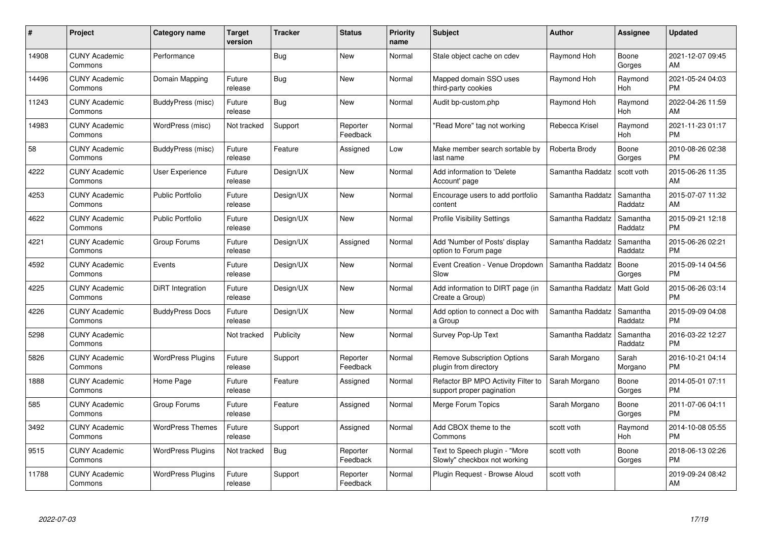| #     | Project                         | <b>Category name</b>     | Target<br>version | <b>Tracker</b> | <b>Status</b>        | Priority<br>name | <b>Subject</b>                                                  | <b>Author</b>    | <b>Assignee</b>     | <b>Updated</b>                |
|-------|---------------------------------|--------------------------|-------------------|----------------|----------------------|------------------|-----------------------------------------------------------------|------------------|---------------------|-------------------------------|
| 14908 | <b>CUNY Academic</b><br>Commons | Performance              |                   | Bug            | <b>New</b>           | Normal           | Stale object cache on cdev                                      | Raymond Hoh      | Boone<br>Gorges     | 2021-12-07 09:45<br><b>AM</b> |
| 14496 | <b>CUNY Academic</b><br>Commons | Domain Mapping           | Future<br>release | Bug            | <b>New</b>           | Normal           | Mapped domain SSO uses<br>third-party cookies                   | Raymond Hoh      | Raymond<br>Hoh      | 2021-05-24 04:03<br><b>PM</b> |
| 11243 | <b>CUNY Academic</b><br>Commons | BuddyPress (misc)        | Future<br>release | <b>Bug</b>     | <b>New</b>           | Normal           | Audit bp-custom.php                                             | Raymond Hoh      | Raymond<br>Hoh      | 2022-04-26 11:59<br>AM        |
| 14983 | <b>CUNY Academic</b><br>Commons | WordPress (misc)         | Not tracked       | Support        | Reporter<br>Feedback | Normal           | "Read More" tag not working                                     | Rebecca Krisel   | Raymond<br>Hoh      | 2021-11-23 01:17<br><b>PM</b> |
| 58    | <b>CUNY Academic</b><br>Commons | BuddyPress (misc)        | Future<br>release | Feature        | Assigned             | Low              | Make member search sortable by<br>last name                     | Roberta Brody    | Boone<br>Gorges     | 2010-08-26 02:38<br><b>PM</b> |
| 4222  | <b>CUNY Academic</b><br>Commons | <b>User Experience</b>   | Future<br>release | Design/UX      | <b>New</b>           | Normal           | Add information to 'Delete<br>Account' page                     | Samantha Raddatz | scott voth          | 2015-06-26 11:35<br><b>AM</b> |
| 4253  | <b>CUNY Academic</b><br>Commons | <b>Public Portfolio</b>  | Future<br>release | Design/UX      | <b>New</b>           | Normal           | Encourage users to add portfolio<br>content                     | Samantha Raddatz | Samantha<br>Raddatz | 2015-07-07 11:32<br>AM        |
| 4622  | <b>CUNY Academic</b><br>Commons | <b>Public Portfolio</b>  | Future<br>release | Design/UX      | <b>New</b>           | Normal           | <b>Profile Visibility Settings</b>                              | Samantha Raddatz | Samantha<br>Raddatz | 2015-09-21 12:18<br><b>PM</b> |
| 4221  | <b>CUNY Academic</b><br>Commons | Group Forums             | Future<br>release | Design/UX      | Assigned             | Normal           | Add 'Number of Posts' display<br>option to Forum page           | Samantha Raddatz | Samantha<br>Raddatz | 2015-06-26 02:21<br><b>PM</b> |
| 4592  | <b>CUNY Academic</b><br>Commons | Events                   | Future<br>release | Design/UX      | <b>New</b>           | Normal           | Event Creation - Venue Dropdown<br>Slow                         | Samantha Raddatz | Boone<br>Gorges     | 2015-09-14 04:56<br>PM        |
| 4225  | <b>CUNY Academic</b><br>Commons | DiRT Integration         | Future<br>release | Design/UX      | New                  | Normal           | Add information to DIRT page (in<br>Create a Group)             | Samantha Raddatz | Matt Gold           | 2015-06-26 03:14<br><b>PM</b> |
| 4226  | <b>CUNY Academic</b><br>Commons | <b>BuddyPress Docs</b>   | Future<br>release | Design/UX      | New                  | Normal           | Add option to connect a Doc with<br>a Group                     | Samantha Raddatz | Samantha<br>Raddatz | 2015-09-09 04:08<br><b>PM</b> |
| 5298  | <b>CUNY Academic</b><br>Commons |                          | Not tracked       | Publicity      | <b>New</b>           | Normal           | Survey Pop-Up Text                                              | Samantha Raddatz | Samantha<br>Raddatz | 2016-03-22 12:27<br><b>PM</b> |
| 5826  | <b>CUNY Academic</b><br>Commons | <b>WordPress Plugins</b> | Future<br>release | Support        | Reporter<br>Feedback | Normal           | <b>Remove Subscription Options</b><br>plugin from directory     | Sarah Morgano    | Sarah<br>Morgano    | 2016-10-21 04:14<br><b>PM</b> |
| 1888  | <b>CUNY Academic</b><br>Commons | Home Page                | Future<br>release | Feature        | Assigned             | Normal           | Refactor BP MPO Activity Filter to<br>support proper pagination | Sarah Morgano    | Boone<br>Gorges     | 2014-05-01 07:11<br><b>PM</b> |
| 585   | <b>CUNY Academic</b><br>Commons | Group Forums             | Future<br>release | Feature        | Assigned             | Normal           | Merge Forum Topics                                              | Sarah Morgano    | Boone<br>Gorges     | 2011-07-06 04:11<br><b>PM</b> |
| 3492  | <b>CUNY Academic</b><br>Commons | <b>WordPress Themes</b>  | Future<br>release | Support        | Assigned             | Normal           | Add CBOX theme to the<br>Commons                                | scott voth       | Raymond<br>Hoh      | 2014-10-08 05:55<br><b>PM</b> |
| 9515  | <b>CUNY Academic</b><br>Commons | <b>WordPress Plugins</b> | Not tracked       | Bug            | Reporter<br>Feedback | Normal           | Text to Speech plugin - "More<br>Slowly" checkbox not working   | scott voth       | Boone<br>Gorges     | 2018-06-13 02:26<br><b>PM</b> |
| 11788 | <b>CUNY Academic</b><br>Commons | <b>WordPress Plugins</b> | Future<br>release | Support        | Reporter<br>Feedback | Normal           | Plugin Request - Browse Aloud                                   | scott voth       |                     | 2019-09-24 08:42<br>AM        |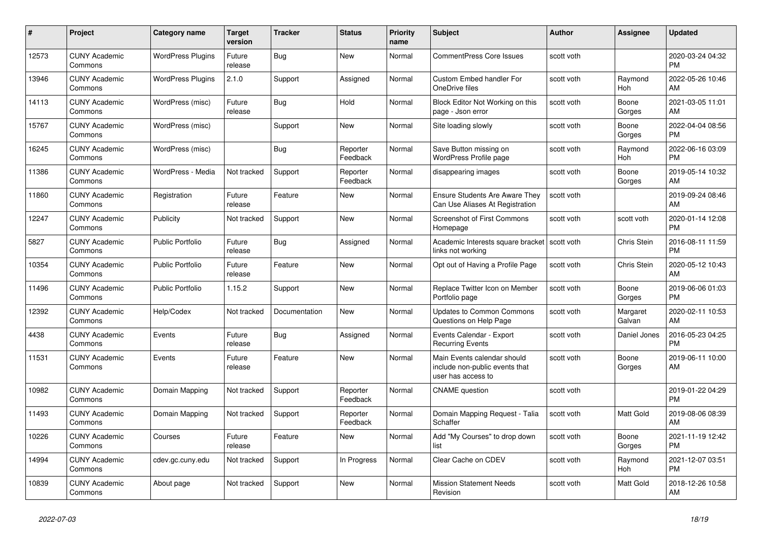| #     | Project                         | <b>Category name</b>     | <b>Target</b><br>version | <b>Tracker</b> | <b>Status</b>        | <b>Priority</b><br>name | <b>Subject</b>                                                                      | <b>Author</b> | <b>Assignee</b>    | <b>Updated</b>                |
|-------|---------------------------------|--------------------------|--------------------------|----------------|----------------------|-------------------------|-------------------------------------------------------------------------------------|---------------|--------------------|-------------------------------|
| 12573 | <b>CUNY Academic</b><br>Commons | <b>WordPress Plugins</b> | Future<br>release        | <b>Bug</b>     | New                  | Normal                  | <b>CommentPress Core Issues</b>                                                     | scott voth    |                    | 2020-03-24 04:32<br><b>PM</b> |
| 13946 | <b>CUNY Academic</b><br>Commons | <b>WordPress Plugins</b> | 2.1.0                    | Support        | Assigned             | Normal                  | <b>Custom Embed handler For</b><br>OneDrive files                                   | scott voth    | Raymond<br>Hoh     | 2022-05-26 10:46<br>AM        |
| 14113 | <b>CUNY Academic</b><br>Commons | WordPress (misc)         | Future<br>release        | <b>Bug</b>     | Hold                 | Normal                  | Block Editor Not Working on this<br>page - Json error                               | scott voth    | Boone<br>Gorges    | 2021-03-05 11:01<br>AM        |
| 15767 | <b>CUNY Academic</b><br>Commons | WordPress (misc)         |                          | Support        | <b>New</b>           | Normal                  | Site loading slowly                                                                 | scott voth    | Boone<br>Gorges    | 2022-04-04 08:56<br><b>PM</b> |
| 16245 | <b>CUNY Academic</b><br>Commons | WordPress (misc)         |                          | Bug            | Reporter<br>Feedback | Normal                  | Save Button missing on<br>WordPress Profile page                                    | scott voth    | Raymond<br>Hoh     | 2022-06-16 03:09<br><b>PM</b> |
| 11386 | <b>CUNY Academic</b><br>Commons | WordPress - Media        | Not tracked              | Support        | Reporter<br>Feedback | Normal                  | disappearing images                                                                 | scott voth    | Boone<br>Gorges    | 2019-05-14 10:32<br>AM        |
| 11860 | <b>CUNY Academic</b><br>Commons | Registration             | Future<br>release        | Feature        | <b>New</b>           | Normal                  | <b>Ensure Students Are Aware They</b><br>Can Use Aliases At Registration            | scott voth    |                    | 2019-09-24 08:46<br>AM        |
| 12247 | <b>CUNY Academic</b><br>Commons | Publicity                | Not tracked              | Support        | <b>New</b>           | Normal                  | <b>Screenshot of First Commons</b><br>Homepage                                      | scott voth    | scott voth         | 2020-01-14 12:08<br><b>PM</b> |
| 5827  | <b>CUNY Academic</b><br>Commons | Public Portfolio         | Future<br>release        | Bug            | Assigned             | Normal                  | Academic Interests square bracket<br>links not working                              | scott voth    | Chris Stein        | 2016-08-11 11:59<br><b>PM</b> |
| 10354 | <b>CUNY Academic</b><br>Commons | <b>Public Portfolio</b>  | Future<br>release        | Feature        | New                  | Normal                  | Opt out of Having a Profile Page                                                    | scott voth    | Chris Stein        | 2020-05-12 10:43<br>AM        |
| 11496 | <b>CUNY Academic</b><br>Commons | <b>Public Portfolio</b>  | 1.15.2                   | Support        | <b>New</b>           | Normal                  | Replace Twitter Icon on Member<br>Portfolio page                                    | scott voth    | Boone<br>Gorges    | 2019-06-06 01:03<br><b>PM</b> |
| 12392 | <b>CUNY Academic</b><br>Commons | Help/Codex               | Not tracked              | Documentation  | New                  | Normal                  | <b>Updates to Common Commons</b><br>Questions on Help Page                          | scott voth    | Margaret<br>Galvan | 2020-02-11 10:53<br>AM        |
| 4438  | <b>CUNY Academic</b><br>Commons | Events                   | Future<br>release        | Bug            | Assigned             | Normal                  | Events Calendar - Export<br><b>Recurring Events</b>                                 | scott voth    | Daniel Jones       | 2016-05-23 04:25<br><b>PM</b> |
| 11531 | <b>CUNY Academic</b><br>Commons | Events                   | Future<br>release        | Feature        | <b>New</b>           | Normal                  | Main Events calendar should<br>include non-public events that<br>user has access to | scott voth    | Boone<br>Gorges    | 2019-06-11 10:00<br>AM        |
| 10982 | <b>CUNY Academic</b><br>Commons | Domain Mapping           | Not tracked              | Support        | Reporter<br>Feedback | Normal                  | <b>CNAME</b> question                                                               | scott voth    |                    | 2019-01-22 04:29<br><b>PM</b> |
| 11493 | <b>CUNY Academic</b><br>Commons | Domain Mapping           | Not tracked              | Support        | Reporter<br>Feedback | Normal                  | Domain Mapping Request - Talia<br>Schaffer                                          | scott voth    | Matt Gold          | 2019-08-06 08:39<br>AM        |
| 10226 | <b>CUNY Academic</b><br>Commons | Courses                  | Future<br>release        | Feature        | <b>New</b>           | Normal                  | Add "My Courses" to drop down<br>list                                               | scott voth    | Boone<br>Gorges    | 2021-11-19 12:42<br><b>PM</b> |
| 14994 | <b>CUNY Academic</b><br>Commons | cdev.gc.cuny.edu         | Not tracked              | Support        | In Progress          | Normal                  | Clear Cache on CDEV                                                                 | scott voth    | Raymond<br>Hoh     | 2021-12-07 03:51<br><b>PM</b> |
| 10839 | <b>CUNY Academic</b><br>Commons | About page               | Not tracked              | Support        | <b>New</b>           | Normal                  | <b>Mission Statement Needs</b><br>Revision                                          | scott voth    | Matt Gold          | 2018-12-26 10:58<br>AM        |